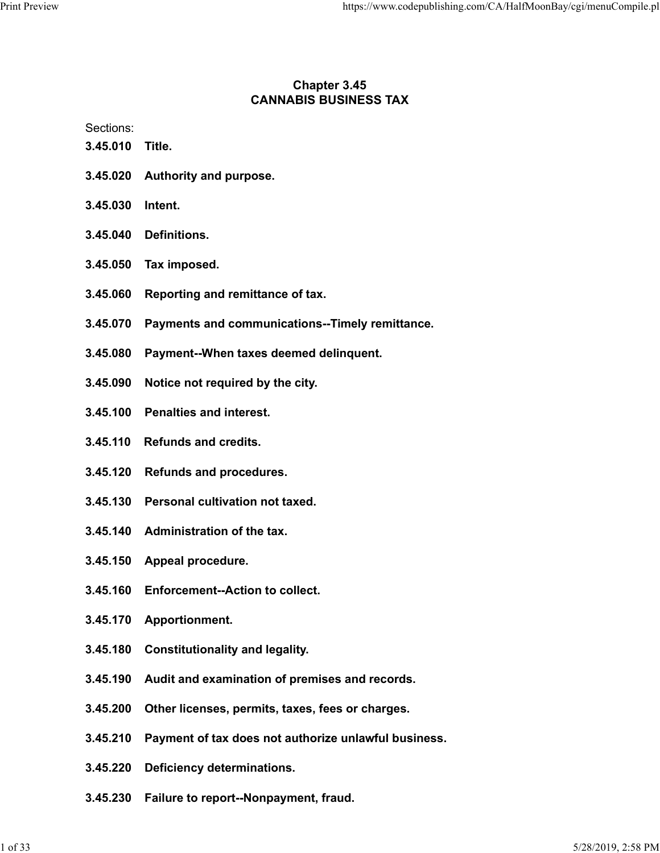# Chapter 3.45 CANNABIS BUSINESS TAX

Sections:

- 3.45.010 Title.
- 3.45.020 Authority and purpose.
- 3.45.030 Intent.
- 3.45.040 Definitions.
- 3.45.050 Tax imposed.
- 3.45.060 Reporting and remittance of tax.
- 3.45.070 Payments and communications--Timely remittance.
- 3.45.080 Payment--When taxes deemed delinquent.
- 3.45.090 Notice not required by the city.
- 3.45.100 Penalties and interest.
- 3.45.110 Refunds and credits.
- 3.45.120 Refunds and procedures.
- 3.45.130 Personal cultivation not taxed.
- 3.45.140 Administration of the tax.
- 3.45.150 Appeal procedure.
- 3.45.160 Enforcement--Action to collect.
- 3.45.170 Apportionment.
- 3.45.180 Constitutionality and legality.
- 3.45.190 Audit and examination of premises and records.
- 3.45.200 Other licenses, permits, taxes, fees or charges.
- 3.45.210 Payment of tax does not authorize unlawful business.
- 3.45.220 Deficiency determinations.
- 3.45.230 Failure to report--Nonpayment, fraud.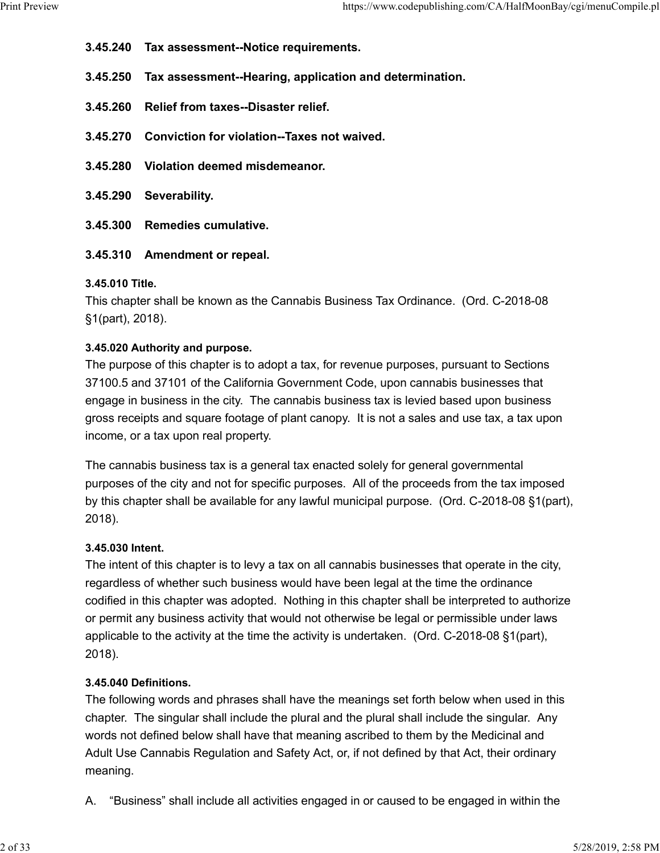- 3.45.240 Tax assessment--Notice requirements. Print Preview https://www.codepublishing.com/CA/HalfMoonBay/cgi/menuCompile.pl<br>3.45.240 Tax assessment--Notice requirements.<br>3.45.250 Tax assessment--Hearing application and determination
	- 3.45.250 Tax assessment--Hearing, application and determination.
	- 3.45.260 Relief from taxes--Disaster relief.
	- 3.45.270 Conviction for violation--Taxes not waived.
	- 3.45.280 Violation deemed misdemeanor.
	- 3.45.290 Severability.
	- 3.45.300 Remedies cumulative.
	- 3.45.310 Amendment or repeal.

#### 3.45.010 Title.

This chapter shall be known as the Cannabis Business Tax Ordinance. (Ord. C-2018-08 §1(part), 2018).

#### 3.45.020 Authority and purpose.

The purpose of this chapter is to adopt a tax, for revenue purposes, pursuant to Sections 37100.5 and 37101 of the California Government Code, upon cannabis businesses that engage in business in the city. The cannabis business tax is levied based upon business gross receipts and square footage of plant canopy. It is not a sales and use tax, a tax upon income, or a tax upon real property.

The cannabis business tax is a general tax enacted solely for general governmental purposes of the city and not for specific purposes. All of the proceeds from the tax imposed by this chapter shall be available for any lawful municipal purpose. (Ord. C-2018-08 §1(part), 2018).

#### 3.45.030 Intent.

The intent of this chapter is to levy a tax on all cannabis businesses that operate in the city, regardless of whether such business would have been legal at the time the ordinance codified in this chapter was adopted. Nothing in this chapter shall be interpreted to authorize or permit any business activity that would not otherwise be legal or permissible under laws applicable to the activity at the time the activity is undertaken. (Ord. C-2018-08 §1(part), 2018).

#### 3.45.040 Definitions.

The following words and phrases shall have the meanings set forth below when used in this chapter. The singular shall include the plural and the plural shall include the singular. Any words not defined below shall have that meaning ascribed to them by the Medicinal and Adult Use Cannabis Regulation and Safety Act, or, if not defined by that Act, their ordinary meaning.

A. "Business" shall include all activities engaged in or caused to be engaged in within the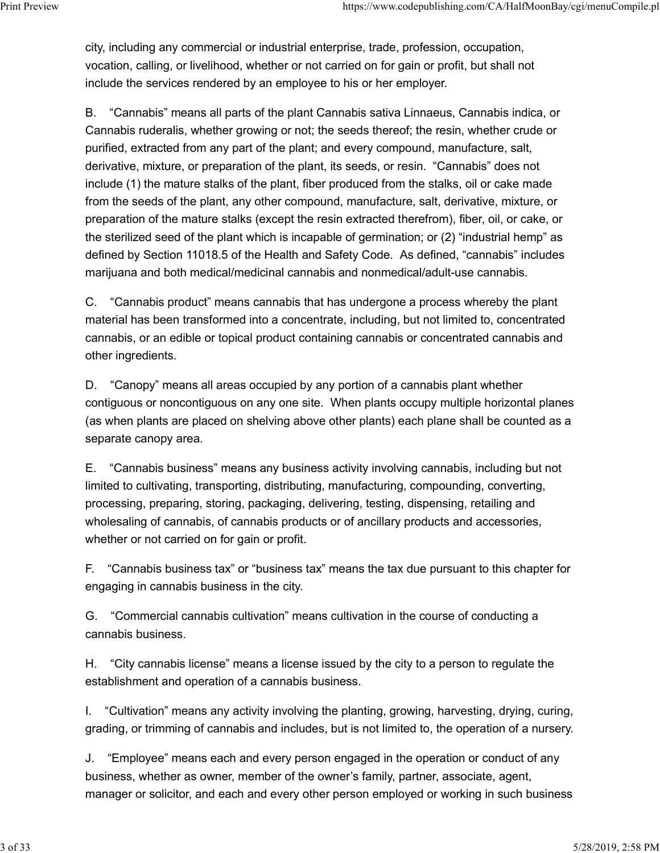city, including any commercial or industrial enterprise, trade, profession, occupation, vocation, calling, or livelihood, whether or not carried on for gain or profit, but shall not include the services rendered by an employee to his or her employer. Print Preview https://www.codepublishing.com/CA/HalfMoonBay/cgi/menuCompile.pl<br>city, including any commercial or industrial enterprise, trade, profession, occupation,<br>vocation, calling, or livelihood, whether or not carrie

> B. "Cannabis" means all parts of the plant Cannabis sativa Linnaeus, Cannabis indica, or Cannabis ruderalis, whether growing or not; the seeds thereof; the resin, whether crude or purified, extracted from any part of the plant; and every compound, manufacture, salt, derivative, mixture, or preparation of the plant, its seeds, or resin. "Cannabis" does not include (1) the mature stalks of the plant, fiber produced from the stalks, oil or cake made from the seeds of the plant, any other compound, manufacture, salt, derivative, mixture, or preparation of the mature stalks (except the resin extracted therefrom), fiber, oil, or cake, or the sterilized seed of the plant which is incapable of germination; or (2) "industrial hemp" as defined by Section 11018.5 of the Health and Safety Code. As defined, "cannabis" includes marijuana and both medical/medicinal cannabis and nonmedical/adult-use cannabis.

> C. "Cannabis product" means cannabis that has undergone a process whereby the plant material has been transformed into a concentrate, including, but not limited to, concentrated cannabis, or an edible or topical product containing cannabis or concentrated cannabis and other ingredients.

D. "Canopy" means all areas occupied by any portion of a cannabis plant whether contiguous or noncontiguous on any one site. When plants occupy multiple horizontal planes (as when plants are placed on shelving above other plants) each plane shall be counted as a separate canopy area.

E. "Cannabis business" means any business activity involving cannabis, including but not limited to cultivating, transporting, distributing, manufacturing, compounding, converting, processing, preparing, storing, packaging, delivering, testing, dispensing, retailing and wholesaling of cannabis, of cannabis products or of ancillary products and accessories, whether or not carried on for gain or profit.

F. "Cannabis business tax" or "business tax" means the tax due pursuant to this chapter for engaging in cannabis business in the city.

G. "Commercial cannabis cultivation" means cultivation in the course of conducting a cannabis business.

H. "City cannabis license" means a license issued by the city to a person to regulate the establishment and operation of a cannabis business.

I. "Cultivation" means any activity involving the planting, growing, harvesting, drying, curing, grading, or trimming of cannabis and includes, but is not limited to, the operation of a nursery.

J. "Employee" means each and every person engaged in the operation or conduct of any business, whether as owner, member of the owner's family, partner, associate, agent, manager or solicitor, and each and every other person employed or working in such business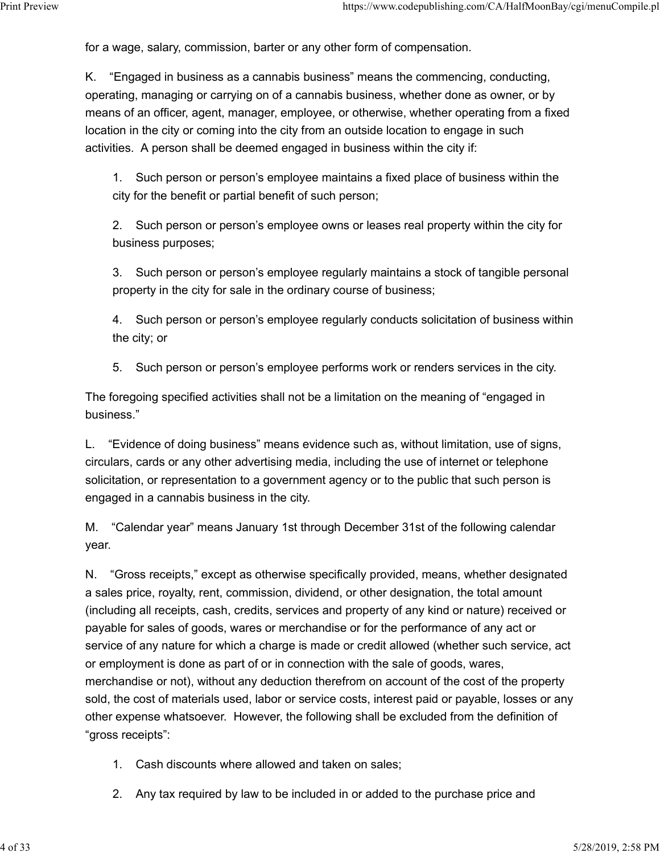for a wage, salary, commission, barter or any other form of compensation. Print Preview https://www.codepublishing.com/CA/HalfMoonBay/cgi/menuCompile.pl<br>for a wage, salary, commission, barter or any other form of compensation.<br>K "Engaged in husiness as a cannabis business" means the commencing c

K. "Engaged in business as a cannabis business" means the commencing, conducting, operating, managing or carrying on of a cannabis business, whether done as owner, or by means of an officer, agent, manager, employee, or otherwise, whether operating from a fixed location in the city or coming into the city from an outside location to engage in such activities. A person shall be deemed engaged in business within the city if:

1. Such person or person's employee maintains a fixed place of business within the city for the benefit or partial benefit of such person;

2. Such person or person's employee owns or leases real property within the city for business purposes;

3. Such person or person's employee regularly maintains a stock of tangible personal property in the city for sale in the ordinary course of business;

4. Such person or person's employee regularly conducts solicitation of business within the city; or

5. Such person or person's employee performs work or renders services in the city.

The foregoing specified activities shall not be a limitation on the meaning of "engaged in business."

L. "Evidence of doing business" means evidence such as, without limitation, use of signs, circulars, cards or any other advertising media, including the use of internet or telephone solicitation, or representation to a government agency or to the public that such person is engaged in a cannabis business in the city.

M. "Calendar year" means January 1st through December 31st of the following calendar year.

N. "Gross receipts," except as otherwise specifically provided, means, whether designated a sales price, royalty, rent, commission, dividend, or other designation, the total amount (including all receipts, cash, credits, services and property of any kind or nature) received or payable for sales of goods, wares or merchandise or for the performance of any act or service of any nature for which a charge is made or credit allowed (whether such service, act or employment is done as part of or in connection with the sale of goods, wares, merchandise or not), without any deduction therefrom on account of the cost of the property sold, the cost of materials used, labor or service costs, interest paid or payable, losses or any other expense whatsoever. However, the following shall be excluded from the definition of "gross receipts":

- 1. Cash discounts where allowed and taken on sales;
- 2. Any tax required by law to be included in or added to the purchase price and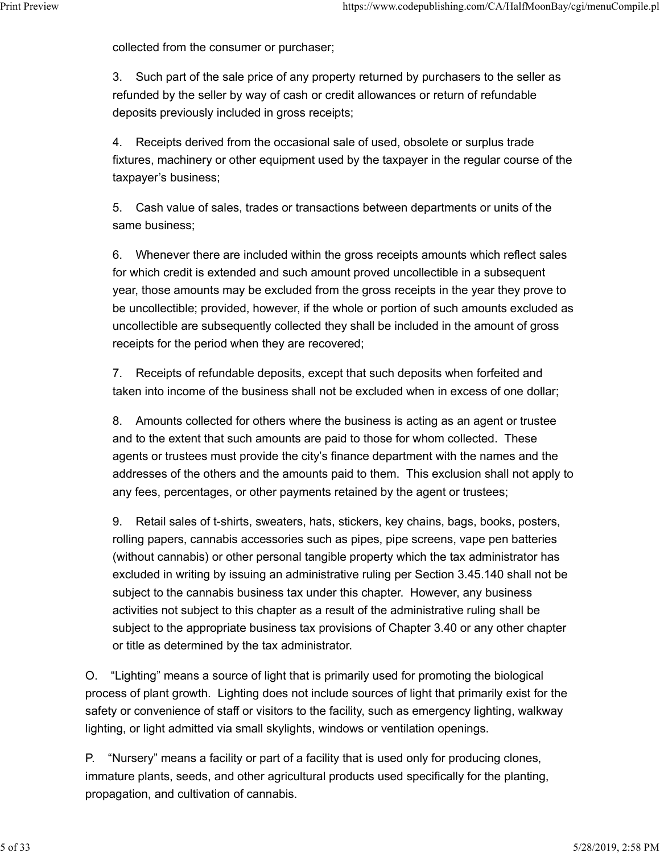collected from the consumer or purchaser;

3. Such part of the sale price of any property returned by purchasers to the seller as refunded by the seller by way of cash or credit allowances or return of refundable deposits previously included in gross receipts; Print Preview https://www.codepublishing.com/CA/HalfMoonBay/cgi/menuCompile.pl<br>
collected from the consumer or purchaser;<br>
3 Such part of the sale price of any property returned by purchasers to the seller as

> 4. Receipts derived from the occasional sale of used, obsolete or surplus trade fixtures, machinery or other equipment used by the taxpayer in the regular course of the taxpayer's business;

5. Cash value of sales, trades or transactions between departments or units of the same business;

6. Whenever there are included within the gross receipts amounts which reflect sales for which credit is extended and such amount proved uncollectible in a subsequent year, those amounts may be excluded from the gross receipts in the year they prove to be uncollectible; provided, however, if the whole or portion of such amounts excluded as uncollectible are subsequently collected they shall be included in the amount of gross receipts for the period when they are recovered;

7. Receipts of refundable deposits, except that such deposits when forfeited and taken into income of the business shall not be excluded when in excess of one dollar;

8. Amounts collected for others where the business is acting as an agent or trustee and to the extent that such amounts are paid to those for whom collected. These agents or trustees must provide the city's finance department with the names and the addresses of the others and the amounts paid to them. This exclusion shall not apply to any fees, percentages, or other payments retained by the agent or trustees;

9. Retail sales of t-shirts, sweaters, hats, stickers, key chains, bags, books, posters, rolling papers, cannabis accessories such as pipes, pipe screens, vape pen batteries (without cannabis) or other personal tangible property which the tax administrator has excluded in writing by issuing an administrative ruling per Section 3.45.140 shall not be subject to the cannabis business tax under this chapter. However, any business activities not subject to this chapter as a result of the administrative ruling shall be subject to the appropriate business tax provisions of Chapter 3.40 or any other chapter or title as determined by the tax administrator.

O. "Lighting" means a source of light that is primarily used for promoting the biological process of plant growth. Lighting does not include sources of light that primarily exist for the safety or convenience of staff or visitors to the facility, such as emergency lighting, walkway lighting, or light admitted via small skylights, windows or ventilation openings.

P. "Nursery" means a facility or part of a facility that is used only for producing clones, immature plants, seeds, and other agricultural products used specifically for the planting, propagation, and cultivation of cannabis.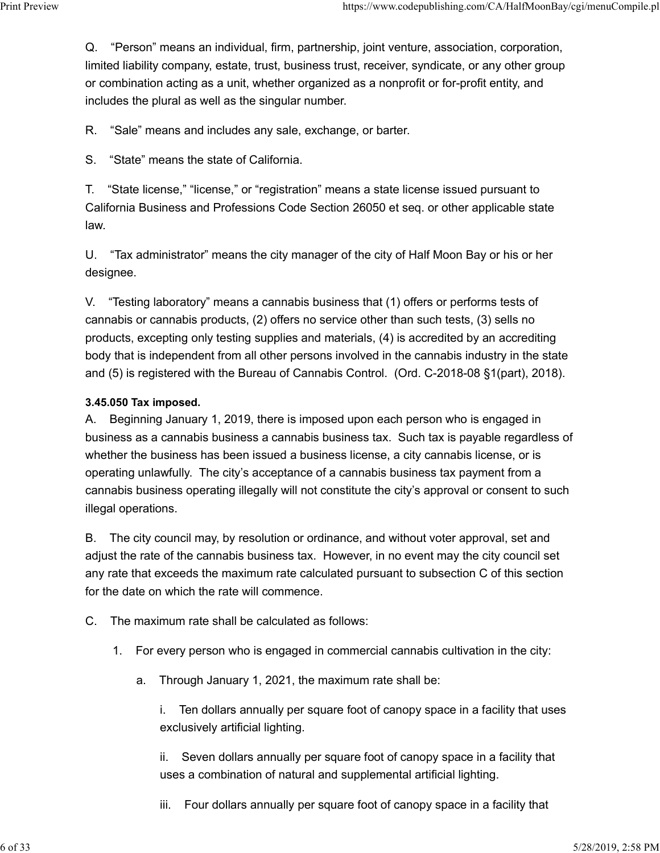Q. "Person" means an individual, firm, partnership, joint venture, association, corporation, limited liability company, estate, trust, business trust, receiver, syndicate, or any other group or combination acting as a unit, whether organized as a nonprofit or for-profit entity, and includes the plural as well as the singular number. Print Preview https://www.codepublishing.com/CA/HalfMoonBay/cgi/menuCompile.pl<br>Q. "Person" means an individual, firm, partnership, joint venture, association, corporation,<br>limited liability company, estate, trust, business

R. "Sale" means and includes any sale, exchange, or barter.

S. "State" means the state of California.

T. "State license," "license," or "registration" means a state license issued pursuant to California Business and Professions Code Section 26050 et seq. or other applicable state law.

U. "Tax administrator" means the city manager of the city of Half Moon Bay or his or her designee.

V. "Testing laboratory" means a cannabis business that (1) offers or performs tests of cannabis or cannabis products, (2) offers no service other than such tests, (3) sells no products, excepting only testing supplies and materials, (4) is accredited by an accrediting body that is independent from all other persons involved in the cannabis industry in the state and (5) is registered with the Bureau of Cannabis Control. (Ord. C-2018-08 §1(part), 2018).

### 3.45.050 Tax imposed.

A. Beginning January 1, 2019, there is imposed upon each person who is engaged in business as a cannabis business a cannabis business tax. Such tax is payable regardless of whether the business has been issued a business license, a city cannabis license, or is operating unlawfully. The city's acceptance of a cannabis business tax payment from a cannabis business operating illegally will not constitute the city's approval or consent to such illegal operations.

B. The city council may, by resolution or ordinance, and without voter approval, set and adjust the rate of the cannabis business tax. However, in no event may the city council set any rate that exceeds the maximum rate calculated pursuant to subsection C of this section for the date on which the rate will commence.

C. The maximum rate shall be calculated as follows:

- 1. For every person who is engaged in commercial cannabis cultivation in the city:
	- a. Through January 1, 2021, the maximum rate shall be:

i. Ten dollars annually per square foot of canopy space in a facility that uses exclusively artificial lighting.

ii. Seven dollars annually per square foot of canopy space in a facility that uses a combination of natural and supplemental artificial lighting.

iii. Four dollars annually per square foot of canopy space in a facility that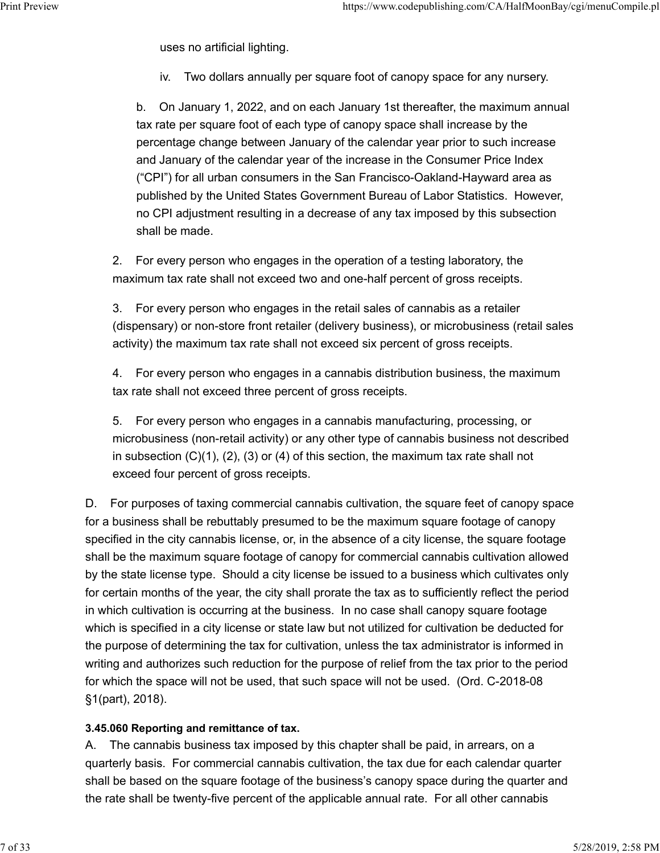uses no artificial lighting.

iv. Two dollars annually per square foot of canopy space for any nursery.

b. On January 1, 2022, and on each January 1st thereafter, the maximum annual tax rate per square foot of each type of canopy space shall increase by the percentage change between January of the calendar year prior to such increase and January of the calendar year of the increase in the Consumer Price Index ("CPI") for all urban consumers in the San Francisco-Oakland-Hayward area as published by the United States Government Bureau of Labor Statistics. However, no CPI adjustment resulting in a decrease of any tax imposed by this subsection shall be made.

2. For every person who engages in the operation of a testing laboratory, the maximum tax rate shall not exceed two and one-half percent of gross receipts.

3. For every person who engages in the retail sales of cannabis as a retailer (dispensary) or non-store front retailer (delivery business), or microbusiness (retail sales activity) the maximum tax rate shall not exceed six percent of gross receipts.

4. For every person who engages in a cannabis distribution business, the maximum tax rate shall not exceed three percent of gross receipts.

5. For every person who engages in a cannabis manufacturing, processing, or microbusiness (non-retail activity) or any other type of cannabis business not described in subsection  $(C)(1)$ ,  $(2)$ ,  $(3)$  or  $(4)$  of this section, the maximum tax rate shall not exceed four percent of gross receipts.

D. For purposes of taxing commercial cannabis cultivation, the square feet of canopy space for a business shall be rebuttably presumed to be the maximum square footage of canopy specified in the city cannabis license, or, in the absence of a city license, the square footage shall be the maximum square footage of canopy for commercial cannabis cultivation allowed by the state license type. Should a city license be issued to a business which cultivates only for certain months of the year, the city shall prorate the tax as to sufficiently reflect the period in which cultivation is occurring at the business. In no case shall canopy square footage which is specified in a city license or state law but not utilized for cultivation be deducted for the purpose of determining the tax for cultivation, unless the tax administrator is informed in writing and authorizes such reduction for the purpose of relief from the tax prior to the period for which the space will not be used, that such space will not be used. (Ord. C-2018-08 §1(part), 2018).

#### 3.45.060 Reporting and remittance of tax.

A. The cannabis business tax imposed by this chapter shall be paid, in arrears, on a quarterly basis. For commercial cannabis cultivation, the tax due for each calendar quarter shall be based on the square footage of the business's canopy space during the quarter and the rate shall be twenty-five percent of the applicable annual rate. For all other cannabis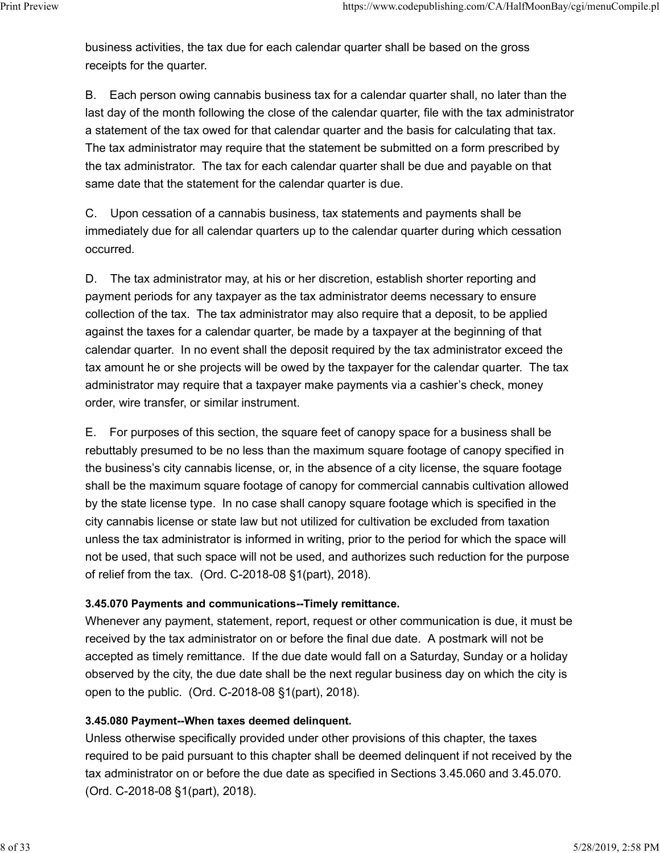business activities, the tax due for each calendar quarter shall be based on the gross receipts for the quarter. Print Preview https://www.codepublishing.com/CA/HalfMoonBay/cgi/menuCompile.pl<br>business activities, the tax due for each calendar quarter shall be based on the gross<br>receipts for the quarter.

> B. Each person owing cannabis business tax for a calendar quarter shall, no later than the last day of the month following the close of the calendar quarter, file with the tax administrator a statement of the tax owed for that calendar quarter and the basis for calculating that tax. The tax administrator may require that the statement be submitted on a form prescribed by the tax administrator. The tax for each calendar quarter shall be due and payable on that same date that the statement for the calendar quarter is due.

C. Upon cessation of a cannabis business, tax statements and payments shall be immediately due for all calendar quarters up to the calendar quarter during which cessation occurred.

D. The tax administrator may, at his or her discretion, establish shorter reporting and payment periods for any taxpayer as the tax administrator deems necessary to ensure collection of the tax. The tax administrator may also require that a deposit, to be applied against the taxes for a calendar quarter, be made by a taxpayer at the beginning of that calendar quarter. In no event shall the deposit required by the tax administrator exceed the tax amount he or she projects will be owed by the taxpayer for the calendar quarter. The tax administrator may require that a taxpayer make payments via a cashier's check, money order, wire transfer, or similar instrument.

E. For purposes of this section, the square feet of canopy space for a business shall be rebuttably presumed to be no less than the maximum square footage of canopy specified in the business's city cannabis license, or, in the absence of a city license, the square footage shall be the maximum square footage of canopy for commercial cannabis cultivation allowed by the state license type. In no case shall canopy square footage which is specified in the city cannabis license or state law but not utilized for cultivation be excluded from taxation unless the tax administrator is informed in writing, prior to the period for which the space will not be used, that such space will not be used, and authorizes such reduction for the purpose of relief from the tax. (Ord. C-2018-08 §1(part), 2018).

#### 3.45.070 Payments and communications--Timely remittance.

Whenever any payment, statement, report, request or other communication is due, it must be received by the tax administrator on or before the final due date. A postmark will not be accepted as timely remittance. If the due date would fall on a Saturday, Sunday or a holiday observed by the city, the due date shall be the next regular business day on which the city is open to the public. (Ord. C-2018-08 §1(part), 2018).

#### 3.45.080 Payment--When taxes deemed delinquent.

Unless otherwise specifically provided under other provisions of this chapter, the taxes required to be paid pursuant to this chapter shall be deemed delinquent if not received by the tax administrator on or before the due date as specified in Sections 3.45.060 and 3.45.070. (Ord. C-2018-08 §1(part), 2018).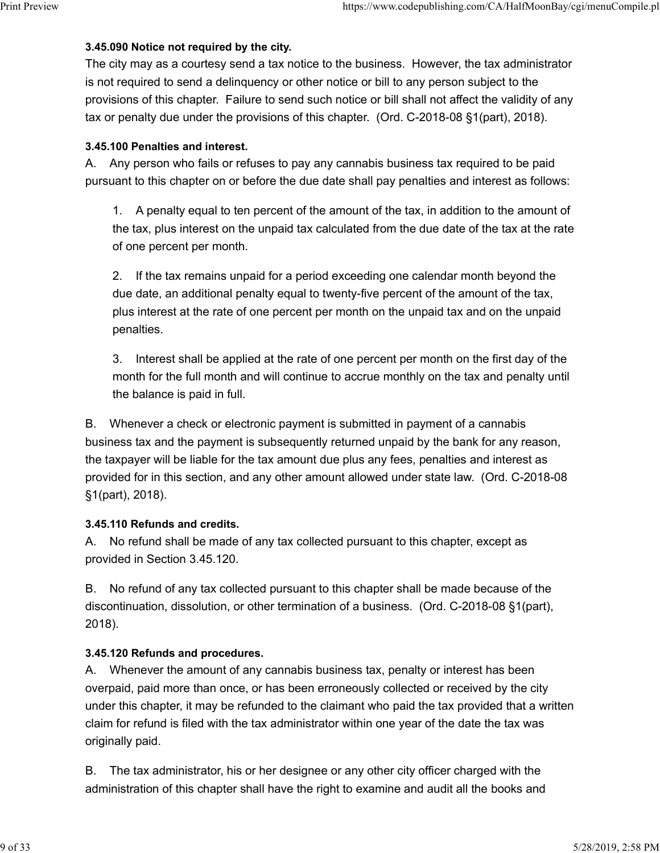### 3.45.090 Notice not required by the city.

The city may as a courtesy send a tax notice to the business. However, the tax administrator is not required to send a delinquency or other notice or bill to any person subject to the provisions of this chapter. Failure to send such notice or bill shall not affect the validity of any tax or penalty due under the provisions of this chapter. (Ord. C-2018-08 §1(part), 2018). Print Preview https://www.codepublishing.com/CA/HalfMoonBay/cgi/menuCompile.pl<br>3.45.090 Notice not required by the city.<br>The city may as a courtesy send a tax notice to the business. However, the tax administrator

### 3.45.100 Penalties and interest.

A. Any person who fails or refuses to pay any cannabis business tax required to be paid pursuant to this chapter on or before the due date shall pay penalties and interest as follows:

1. A penalty equal to ten percent of the amount of the tax, in addition to the amount of the tax, plus interest on the unpaid tax calculated from the due date of the tax at the rate of one percent per month.

2. If the tax remains unpaid for a period exceeding one calendar month beyond the due date, an additional penalty equal to twenty-five percent of the amount of the tax, plus interest at the rate of one percent per month on the unpaid tax and on the unpaid penalties.

3. Interest shall be applied at the rate of one percent per month on the first day of the month for the full month and will continue to accrue monthly on the tax and penalty until the balance is paid in full.

B. Whenever a check or electronic payment is submitted in payment of a cannabis business tax and the payment is subsequently returned unpaid by the bank for any reason, the taxpayer will be liable for the tax amount due plus any fees, penalties and interest as provided for in this section, and any other amount allowed under state law. (Ord. C-2018-08 §1(part), 2018).

# 3.45.110 Refunds and credits.

A. No refund shall be made of any tax collected pursuant to this chapter, except as provided in Section 3.45.120.

B. No refund of any tax collected pursuant to this chapter shall be made because of the discontinuation, dissolution, or other termination of a business. (Ord. C-2018-08 §1(part), 2018).

# 3.45.120 Refunds and procedures.

A. Whenever the amount of any cannabis business tax, penalty or interest has been overpaid, paid more than once, or has been erroneously collected or received by the city under this chapter, it may be refunded to the claimant who paid the tax provided that a written claim for refund is filed with the tax administrator within one year of the date the tax was originally paid.

B. The tax administrator, his or her designee or any other city officer charged with the administration of this chapter shall have the right to examine and audit all the books and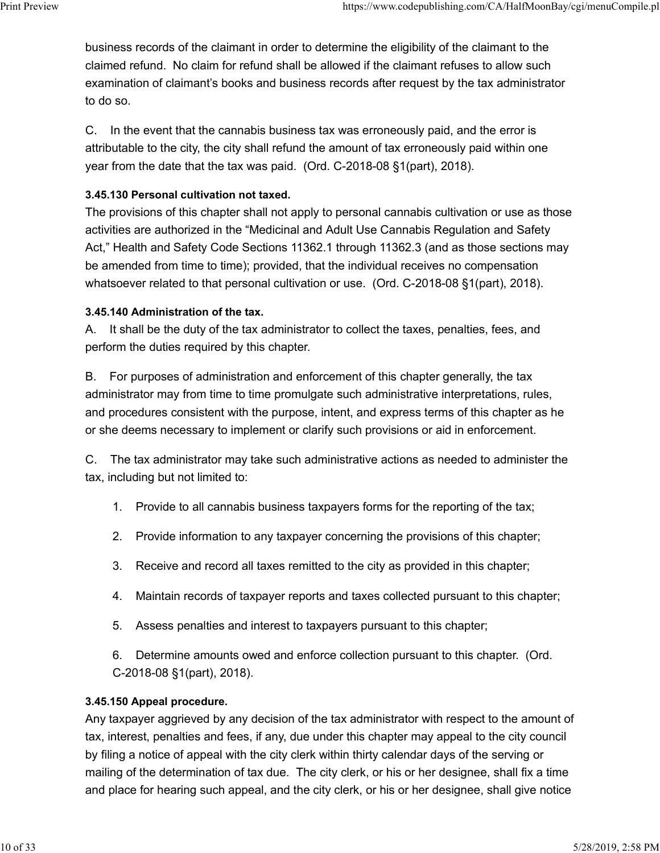business records of the claimant in order to determine the eligibility of the claimant to the claimed refund. No claim for refund shall be allowed if the claimant refuses to allow such examination of claimant's books and business records after request by the tax administrator to do so. Print Preview https://www.codepublishing.com/CA/HalfMoonBay/cgi/menuCompile.pl<br>business records of the claimant in order to determine the eligibility of the claimant to the<br>claimed refund. No claim for refund shall be allo

> C. In the event that the cannabis business tax was erroneously paid, and the error is attributable to the city, the city shall refund the amount of tax erroneously paid within one year from the date that the tax was paid. (Ord. C-2018-08 §1(part), 2018).

### 3.45.130 Personal cultivation not taxed.

The provisions of this chapter shall not apply to personal cannabis cultivation or use as those activities are authorized in the "Medicinal and Adult Use Cannabis Regulation and Safety Act," Health and Safety Code Sections 11362.1 through 11362.3 (and as those sections may be amended from time to time); provided, that the individual receives no compensation whatsoever related to that personal cultivation or use. (Ord. C-2018-08 §1(part), 2018).

### 3.45.140 Administration of the tax.

A. It shall be the duty of the tax administrator to collect the taxes, penalties, fees, and perform the duties required by this chapter.

B. For purposes of administration and enforcement of this chapter generally, the tax administrator may from time to time promulgate such administrative interpretations, rules, and procedures consistent with the purpose, intent, and express terms of this chapter as he or she deems necessary to implement or clarify such provisions or aid in enforcement.

C. The tax administrator may take such administrative actions as needed to administer the tax, including but not limited to:

- 1. Provide to all cannabis business taxpayers forms for the reporting of the tax;
- 2. Provide information to any taxpayer concerning the provisions of this chapter;
- 3. Receive and record all taxes remitted to the city as provided in this chapter;
- 4. Maintain records of taxpayer reports and taxes collected pursuant to this chapter;
- 5. Assess penalties and interest to taxpayers pursuant to this chapter;

6. Determine amounts owed and enforce collection pursuant to this chapter. (Ord. C-2018-08 §1(part), 2018).

# 3.45.150 Appeal procedure.

Any taxpayer aggrieved by any decision of the tax administrator with respect to the amount of tax, interest, penalties and fees, if any, due under this chapter may appeal to the city council by filing a notice of appeal with the city clerk within thirty calendar days of the serving or mailing of the determination of tax due. The city clerk, or his or her designee, shall fix a time and place for hearing such appeal, and the city clerk, or his or her designee, shall give notice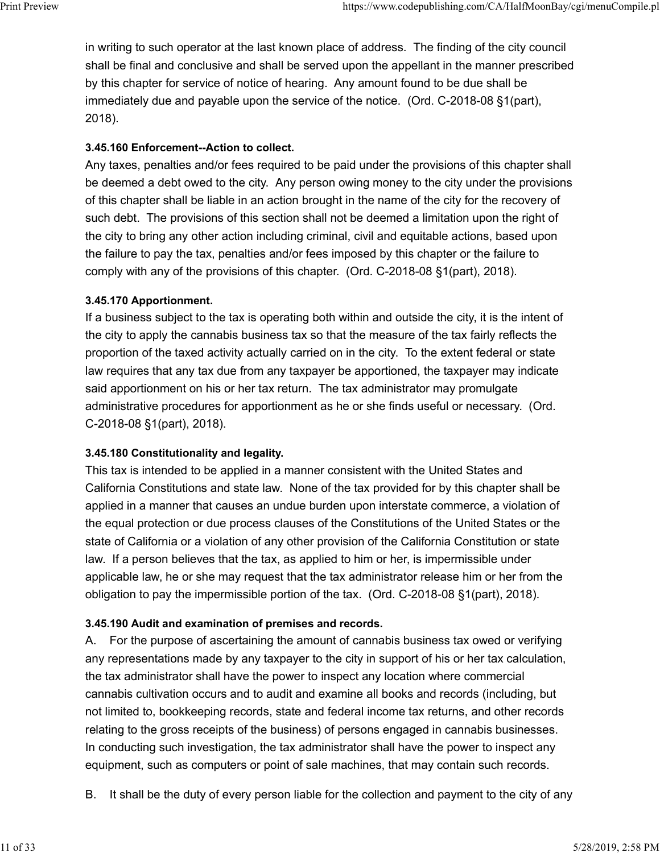in writing to such operator at the last known place of address. The finding of the city council shall be final and conclusive and shall be served upon the appellant in the manner prescribed by this chapter for service of notice of hearing. Any amount found to be due shall be immediately due and payable upon the service of the notice. (Ord. C-2018-08 §1(part), 2018). Print Preview https://www.codepublishing.com/CA/HalfMoonBay/cgi/menuCompile.pl<br>in writing to such operator at the last known place of address. The finding of the city council<br>shall be final and conclusive and shall be serv

# 3.45.160 Enforcement--Action to collect.

Any taxes, penalties and/or fees required to be paid under the provisions of this chapter shall be deemed a debt owed to the city. Any person owing money to the city under the provisions of this chapter shall be liable in an action brought in the name of the city for the recovery of such debt. The provisions of this section shall not be deemed a limitation upon the right of the city to bring any other action including criminal, civil and equitable actions, based upon the failure to pay the tax, penalties and/or fees imposed by this chapter or the failure to comply with any of the provisions of this chapter. (Ord. C-2018-08 §1(part), 2018).

# 3.45.170 Apportionment.

If a business subject to the tax is operating both within and outside the city, it is the intent of the city to apply the cannabis business tax so that the measure of the tax fairly reflects the proportion of the taxed activity actually carried on in the city. To the extent federal or state law requires that any tax due from any taxpayer be apportioned, the taxpayer may indicate said apportionment on his or her tax return. The tax administrator may promulgate administrative procedures for apportionment as he or she finds useful or necessary. (Ord. C-2018-08 §1(part), 2018).

# 3.45.180 Constitutionality and legality.

This tax is intended to be applied in a manner consistent with the United States and California Constitutions and state law. None of the tax provided for by this chapter shall be applied in a manner that causes an undue burden upon interstate commerce, a violation of the equal protection or due process clauses of the Constitutions of the United States or the state of California or a violation of any other provision of the California Constitution or state law. If a person believes that the tax, as applied to him or her, is impermissible under applicable law, he or she may request that the tax administrator release him or her from the obligation to pay the impermissible portion of the tax. (Ord. C-2018-08 §1(part), 2018).

# 3.45.190 Audit and examination of premises and records.

A. For the purpose of ascertaining the amount of cannabis business tax owed or verifying any representations made by any taxpayer to the city in support of his or her tax calculation, the tax administrator shall have the power to inspect any location where commercial cannabis cultivation occurs and to audit and examine all books and records (including, but not limited to, bookkeeping records, state and federal income tax returns, and other records relating to the gross receipts of the business) of persons engaged in cannabis businesses. In conducting such investigation, the tax administrator shall have the power to inspect any equipment, such as computers or point of sale machines, that may contain such records.

B. It shall be the duty of every person liable for the collection and payment to the city of any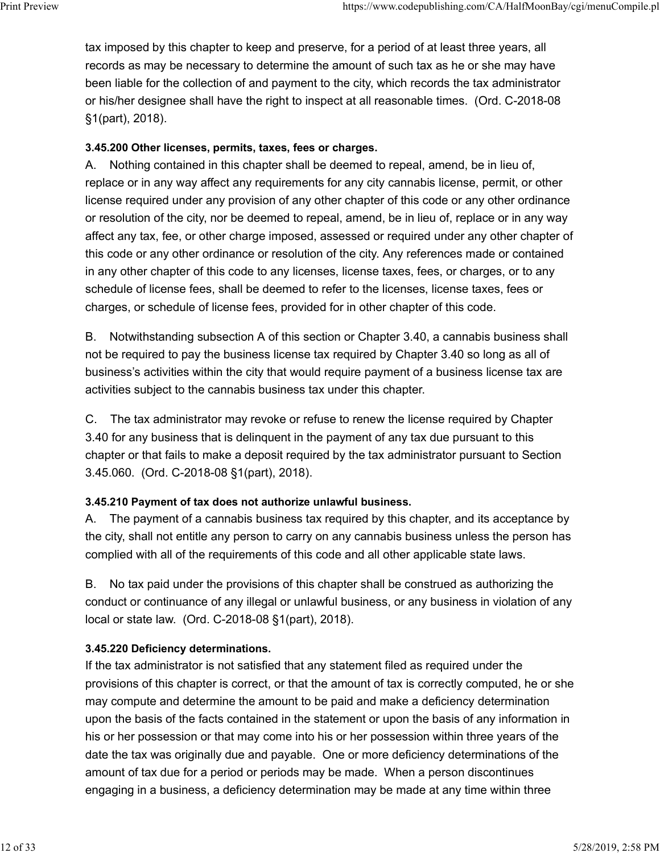tax imposed by this chapter to keep and preserve, for a period of at least three years, all records as may be necessary to determine the amount of such tax as he or she may have been liable for the collection of and payment to the city, which records the tax administrator or his/her designee shall have the right to inspect at all reasonable times. (Ord. C-2018-08 §1(part), 2018). Print Preview https://www.codepublishing.com/CA/HalfMoonBay/cgi/menuCompile.pl<br>tax imposed by this chapter to keep and preserve, for a period of at least three years, all<br>records as may be necessary to determine the amount

### 3.45.200 Other licenses, permits, taxes, fees or charges.

A. Nothing contained in this chapter shall be deemed to repeal, amend, be in lieu of, replace or in any way affect any requirements for any city cannabis license, permit, or other license required under any provision of any other chapter of this code or any other ordinance or resolution of the city, nor be deemed to repeal, amend, be in lieu of, replace or in any way affect any tax, fee, or other charge imposed, assessed or required under any other chapter of this code or any other ordinance or resolution of the city. Any references made or contained in any other chapter of this code to any licenses, license taxes, fees, or charges, or to any schedule of license fees, shall be deemed to refer to the licenses, license taxes, fees or charges, or schedule of license fees, provided for in other chapter of this code.

B. Notwithstanding subsection A of this section or Chapter 3.40, a cannabis business shall not be required to pay the business license tax required by Chapter 3.40 so long as all of business's activities within the city that would require payment of a business license tax are activities subject to the cannabis business tax under this chapter.

C. The tax administrator may revoke or refuse to renew the license required by Chapter 3.40 for any business that is delinquent in the payment of any tax due pursuant to this chapter or that fails to make a deposit required by the tax administrator pursuant to Section 3.45.060. (Ord. C-2018-08 §1(part), 2018).

#### 3.45.210 Payment of tax does not authorize unlawful business.

A. The payment of a cannabis business tax required by this chapter, and its acceptance by the city, shall not entitle any person to carry on any cannabis business unless the person has complied with all of the requirements of this code and all other applicable state laws.

B. No tax paid under the provisions of this chapter shall be construed as authorizing the conduct or continuance of any illegal or unlawful business, or any business in violation of any local or state law. (Ord. C-2018-08 §1(part), 2018).

# 3.45.220 Deficiency determinations.

If the tax administrator is not satisfied that any statement filed as required under the provisions of this chapter is correct, or that the amount of tax is correctly computed, he or she may compute and determine the amount to be paid and make a deficiency determination upon the basis of the facts contained in the statement or upon the basis of any information in his or her possession or that may come into his or her possession within three years of the date the tax was originally due and payable. One or more deficiency determinations of the amount of tax due for a period or periods may be made. When a person discontinues engaging in a business, a deficiency determination may be made at any time within three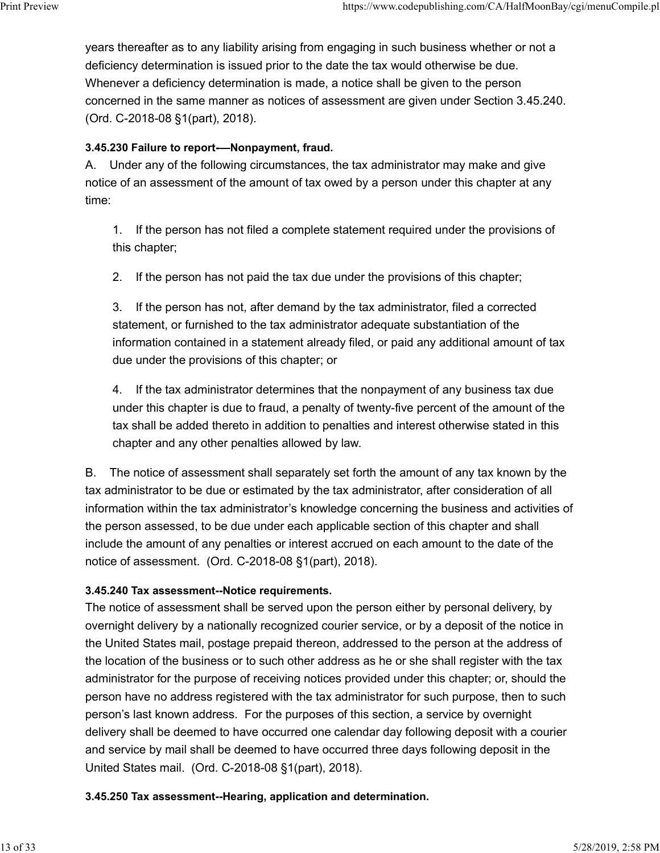years thereafter as to any liability arising from engaging in such business whether or not a deficiency determination is issued prior to the date the tax would otherwise be due. Whenever a deficiency determination is made, a notice shall be given to the person concerned in the same manner as notices of assessment are given under Section 3.45.240. (Ord. C-2018-08 §1(part), 2018). Print Preview https://www.codepublishing.com/CA/HalfMoonBay/cgi/menuCompile.pl<br>years thereafter as to any liability arising from engaging in such business whether or not a<br>deficiency determination is issued prior to the da

### 3.45.230 Failure to report-—Nonpayment, fraud.

A. Under any of the following circumstances, the tax administrator may make and give notice of an assessment of the amount of tax owed by a person under this chapter at any time:

1. If the person has not filed a complete statement required under the provisions of this chapter;

2. If the person has not paid the tax due under the provisions of this chapter;

3. If the person has not, after demand by the tax administrator, filed a corrected statement, or furnished to the tax administrator adequate substantiation of the information contained in a statement already filed, or paid any additional amount of tax due under the provisions of this chapter; or

4. If the tax administrator determines that the nonpayment of any business tax due under this chapter is due to fraud, a penalty of twenty-five percent of the amount of the tax shall be added thereto in addition to penalties and interest otherwise stated in this chapter and any other penalties allowed by law.

B. The notice of assessment shall separately set forth the amount of any tax known by the tax administrator to be due or estimated by the tax administrator, after consideration of all information within the tax administrator's knowledge concerning the business and activities of the person assessed, to be due under each applicable section of this chapter and shall include the amount of any penalties or interest accrued on each amount to the date of the notice of assessment. (Ord. C-2018-08 §1(part), 2018).

#### 3.45.240 Tax assessment--Notice requirements.

The notice of assessment shall be served upon the person either by personal delivery, by overnight delivery by a nationally recognized courier service, or by a deposit of the notice in the United States mail, postage prepaid thereon, addressed to the person at the address of the location of the business or to such other address as he or she shall register with the tax administrator for the purpose of receiving notices provided under this chapter; or, should the person have no address registered with the tax administrator for such purpose, then to such person's last known address. For the purposes of this section, a service by overnight delivery shall be deemed to have occurred one calendar day following deposit with a courier and service by mail shall be deemed to have occurred three days following deposit in the United States mail. (Ord. C-2018-08 §1(part), 2018).

3.45.250 Tax assessment--Hearing, application and determination.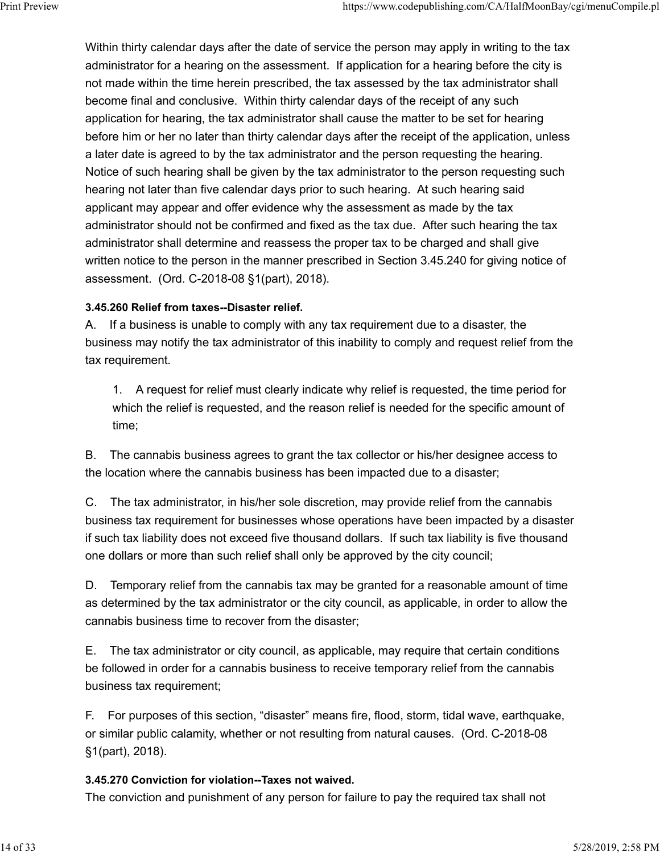Within thirty calendar days after the date of service the person may apply in writing to the tax administrator for a hearing on the assessment. If application for a hearing before the city is not made within the time herein prescribed, the tax assessed by the tax administrator shall become final and conclusive. Within thirty calendar days of the receipt of any such application for hearing, the tax administrator shall cause the matter to be set for hearing before him or her no later than thirty calendar days after the receipt of the application, unless a later date is agreed to by the tax administrator and the person requesting the hearing. Notice of such hearing shall be given by the tax administrator to the person requesting such hearing not later than five calendar days prior to such hearing. At such hearing said applicant may appear and offer evidence why the assessment as made by the tax administrator should not be confirmed and fixed as the tax due. After such hearing the tax administrator shall determine and reassess the proper tax to be charged and shall give written notice to the person in the manner prescribed in Section 3.45.240 for giving notice of assessment. (Ord. C-2018-08 §1(part), 2018). Print Preview https://www.codepublishing.com/CA/HalfMoonBay/cgi/menuCompile.pl<br>Within thirty calendar days after the date of service the person may apply in writing to the tax<br>administrator for a hearing on the assessment.

### 3.45.260 Relief from taxes--Disaster relief.

A. If a business is unable to comply with any tax requirement due to a disaster, the business may notify the tax administrator of this inability to comply and request relief from the tax requirement.

1. A request for relief must clearly indicate why relief is requested, the time period for which the relief is requested, and the reason relief is needed for the specific amount of time;

B. The cannabis business agrees to grant the tax collector or his/her designee access to the location where the cannabis business has been impacted due to a disaster;

C. The tax administrator, in his/her sole discretion, may provide relief from the cannabis business tax requirement for businesses whose operations have been impacted by a disaster if such tax liability does not exceed five thousand dollars. If such tax liability is five thousand one dollars or more than such relief shall only be approved by the city council;

D. Temporary relief from the cannabis tax may be granted for a reasonable amount of time as determined by the tax administrator or the city council, as applicable, in order to allow the cannabis business time to recover from the disaster;

E. The tax administrator or city council, as applicable, may require that certain conditions be followed in order for a cannabis business to receive temporary relief from the cannabis business tax requirement;

F. For purposes of this section, "disaster" means fire, flood, storm, tidal wave, earthquake, or similar public calamity, whether or not resulting from natural causes. (Ord. C-2018-08 §1(part), 2018).

#### 3.45.270 Conviction for violation--Taxes not waived.

The conviction and punishment of any person for failure to pay the required tax shall not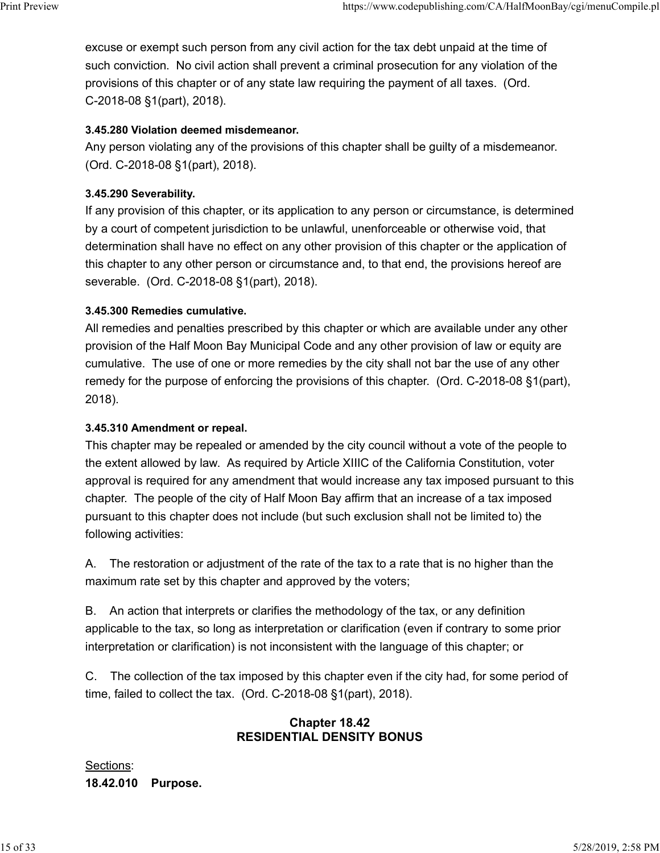excuse or exempt such person from any civil action for the tax debt unpaid at the time of such conviction. No civil action shall prevent a criminal prosecution for any violation of the provisions of this chapter or of any state law requiring the payment of all taxes. (Ord. C-2018-08 §1(part), 2018). Print Preview https://www.codepublishing.com/CA/HalfMoonBay/cgi/menuCompile.pl<br>excuse or exempt such person from any civil action for the tax debt unpaid at the time of<br>such conviction. No civil action shall prevent a crim

### 3.45.280 Violation deemed misdemeanor.

Any person violating any of the provisions of this chapter shall be guilty of a misdemeanor. (Ord. C-2018-08 §1(part), 2018).

### 3.45.290 Severability.

If any provision of this chapter, or its application to any person or circumstance, is determined by a court of competent jurisdiction to be unlawful, unenforceable or otherwise void, that determination shall have no effect on any other provision of this chapter or the application of this chapter to any other person or circumstance and, to that end, the provisions hereof are severable. (Ord. C-2018-08 §1(part), 2018).

### 3.45.300 Remedies cumulative.

All remedies and penalties prescribed by this chapter or which are available under any other provision of the Half Moon Bay Municipal Code and any other provision of law or equity are cumulative. The use of one or more remedies by the city shall not bar the use of any other remedy for the purpose of enforcing the provisions of this chapter. (Ord. C-2018-08 §1(part), 2018).

#### 3.45.310 Amendment or repeal.

This chapter may be repealed or amended by the city council without a vote of the people to the extent allowed by law. As required by Article XIIIC of the California Constitution, voter approval is required for any amendment that would increase any tax imposed pursuant to this chapter. The people of the city of Half Moon Bay affirm that an increase of a tax imposed pursuant to this chapter does not include (but such exclusion shall not be limited to) the following activities:

A. The restoration or adjustment of the rate of the tax to a rate that is no higher than the maximum rate set by this chapter and approved by the voters;

B. An action that interprets or clarifies the methodology of the tax, or any definition applicable to the tax, so long as interpretation or clarification (even if contrary to some prior interpretation or clarification) is not inconsistent with the language of this chapter; or

C. The collection of the tax imposed by this chapter even if the city had, for some period of time, failed to collect the tax. (Ord. C-2018-08 §1(part), 2018).

# Chapter 18.42 RESIDENTIAL DENSITY BONUS

Sections: 18.42.010 Purpose.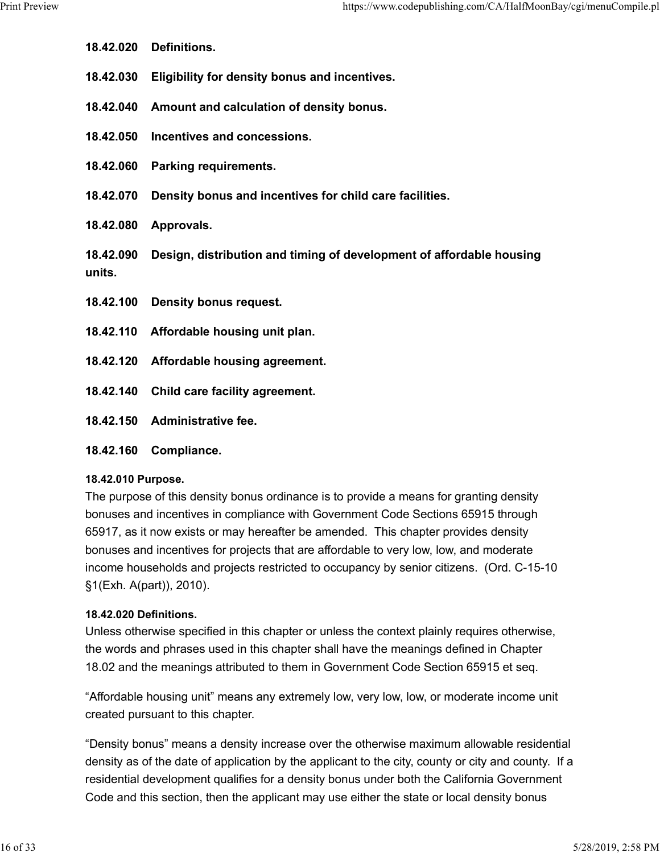- 18.42.020 Definitions.
- 18.42.030 Eligibility for density bonus and incentives.
- 18.42.040 Amount and calculation of density bonus.
- 18.42.050 Incentives and concessions.
- 18.42.060 Parking requirements.
- 18.42.070 Density bonus and incentives for child care facilities.
- 18.42.080 Approvals.
- 18.42.090 Design, distribution and timing of development of affordable housing units.
- 18.42.100 Density bonus request.
- 18.42.110 Affordable housing unit plan.
- 18.42.120 Affordable housing agreement.
- 18.42.140 Child care facility agreement.
- 18.42.150 Administrative fee.
- 18.42.160 Compliance.

#### 18.42.010 Purpose.

The purpose of this density bonus ordinance is to provide a means for granting density bonuses and incentives in compliance with Government Code Sections 65915 through 65917, as it now exists or may hereafter be amended. This chapter provides density bonuses and incentives for projects that are affordable to very low, low, and moderate income households and projects restricted to occupancy by senior citizens. (Ord. C-15-10 §1(Exh. A(part)), 2010).

# 18.42.020 Definitions.

Unless otherwise specified in this chapter or unless the context plainly requires otherwise, the words and phrases used in this chapter shall have the meanings defined in Chapter 18.02 and the meanings attributed to them in Government Code Section 65915 et seq.

"Affordable housing unit" means any extremely low, very low, low, or moderate income unit created pursuant to this chapter.

"Density bonus" means a density increase over the otherwise maximum allowable residential density as of the date of application by the applicant to the city, county or city and county. If a residential development qualifies for a density bonus under both the California Government Code and this section, then the applicant may use either the state or local density bonus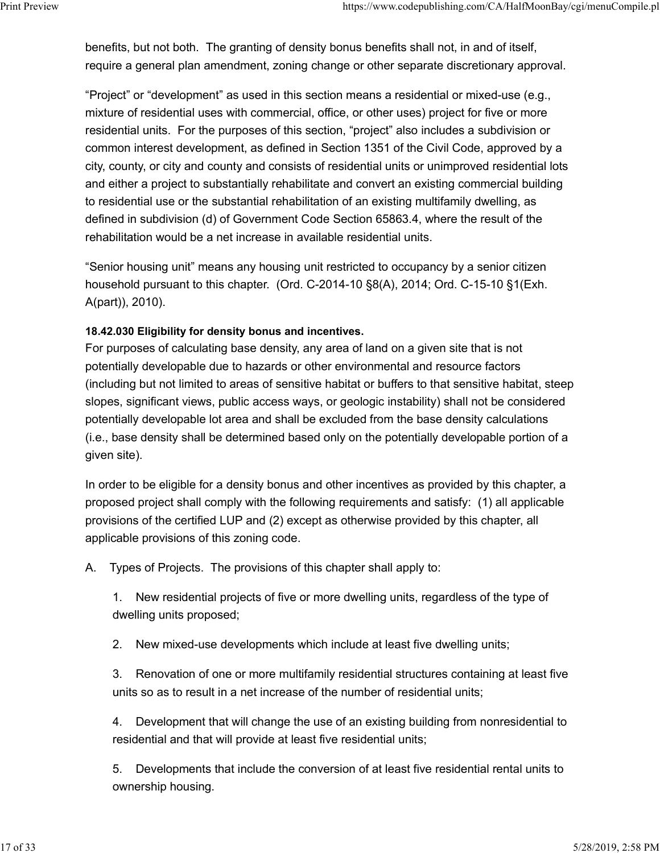benefits, but not both. The granting of density bonus benefits shall not, in and of itself, require a general plan amendment, zoning change or other separate discretionary approval. Print Preview https://www.codepublishing.com/CA/HalfMoonBay/cgi/menuCompile.pl<br>benefits, but not both. The granting of density bonus benefits shall not, in and of itself,<br>require a general plan amendment, zoning change or

> "Project" or "development" as used in this section means a residential or mixed-use (e.g., mixture of residential uses with commercial, office, or other uses) project for five or more residential units. For the purposes of this section, "project" also includes a subdivision or common interest development, as defined in Section 1351 of the Civil Code, approved by a city, county, or city and county and consists of residential units or unimproved residential lots and either a project to substantially rehabilitate and convert an existing commercial building to residential use or the substantial rehabilitation of an existing multifamily dwelling, as defined in subdivision (d) of Government Code Section 65863.4, where the result of the rehabilitation would be a net increase in available residential units.

"Senior housing unit" means any housing unit restricted to occupancy by a senior citizen household pursuant to this chapter. (Ord. C-2014-10 §8(A), 2014; Ord. C-15-10 §1(Exh. A(part)), 2010).

### 18.42.030 Eligibility for density bonus and incentives.

For purposes of calculating base density, any area of land on a given site that is not potentially developable due to hazards or other environmental and resource factors (including but not limited to areas of sensitive habitat or buffers to that sensitive habitat, steep slopes, significant views, public access ways, or geologic instability) shall not be considered potentially developable lot area and shall be excluded from the base density calculations (i.e., base density shall be determined based only on the potentially developable portion of a given site).

In order to be eligible for a density bonus and other incentives as provided by this chapter, a proposed project shall comply with the following requirements and satisfy: (1) all applicable provisions of the certified LUP and (2) except as otherwise provided by this chapter, all applicable provisions of this zoning code.

A. Types of Projects. The provisions of this chapter shall apply to:

1. New residential projects of five or more dwelling units, regardless of the type of dwelling units proposed;

2. New mixed-use developments which include at least five dwelling units;

3. Renovation of one or more multifamily residential structures containing at least five units so as to result in a net increase of the number of residential units;

4. Development that will change the use of an existing building from nonresidential to residential and that will provide at least five residential units;

5. Developments that include the conversion of at least five residential rental units to ownership housing.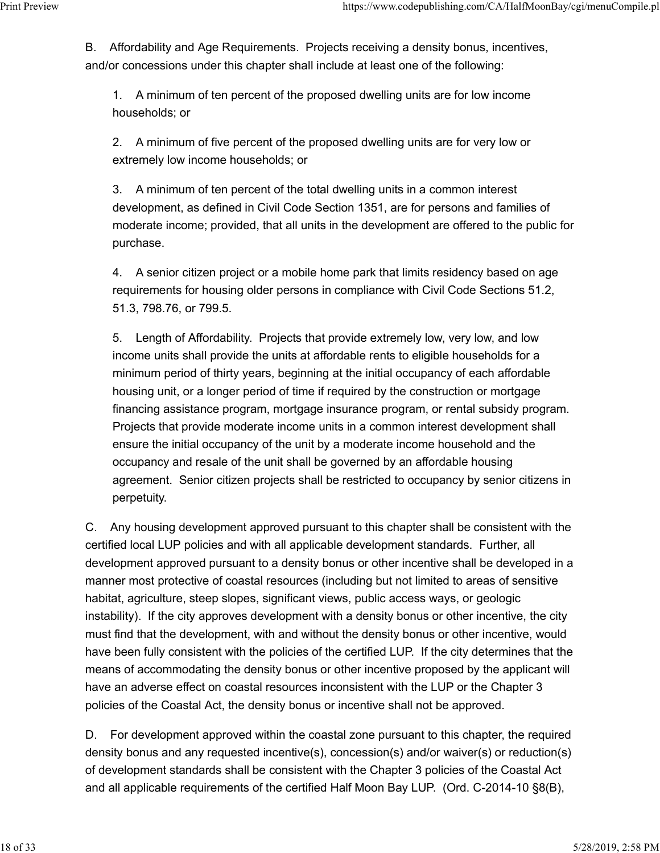B. Affordability and Age Requirements. Projects receiving a density bonus, incentives, and/or concessions under this chapter shall include at least one of the following: Print Preview https://www.codepublishing.com/CA/HalfMoonBay/cgi/menuCompile.pl<br>B. Affordability and Age Requirements. Projects receiving a density bonus, incentives,<br>and/or concessions under this chapter shall include at l

> 1. A minimum of ten percent of the proposed dwelling units are for low income households; or

> 2. A minimum of five percent of the proposed dwelling units are for very low or extremely low income households; or

3. A minimum of ten percent of the total dwelling units in a common interest development, as defined in Civil Code Section 1351, are for persons and families of moderate income; provided, that all units in the development are offered to the public for purchase.

4. A senior citizen project or a mobile home park that limits residency based on age requirements for housing older persons in compliance with Civil Code Sections 51.2, 51.3, 798.76, or 799.5.

5. Length of Affordability. Projects that provide extremely low, very low, and low income units shall provide the units at affordable rents to eligible households for a minimum period of thirty years, beginning at the initial occupancy of each affordable housing unit, or a longer period of time if required by the construction or mortgage financing assistance program, mortgage insurance program, or rental subsidy program. Projects that provide moderate income units in a common interest development shall ensure the initial occupancy of the unit by a moderate income household and the occupancy and resale of the unit shall be governed by an affordable housing agreement. Senior citizen projects shall be restricted to occupancy by senior citizens in perpetuity.

C. Any housing development approved pursuant to this chapter shall be consistent with the certified local LUP policies and with all applicable development standards. Further, all development approved pursuant to a density bonus or other incentive shall be developed in a manner most protective of coastal resources (including but not limited to areas of sensitive habitat, agriculture, steep slopes, significant views, public access ways, or geologic instability). If the city approves development with a density bonus or other incentive, the city must find that the development, with and without the density bonus or other incentive, would have been fully consistent with the policies of the certified LUP. If the city determines that the means of accommodating the density bonus or other incentive proposed by the applicant will have an adverse effect on coastal resources inconsistent with the LUP or the Chapter 3 policies of the Coastal Act, the density bonus or incentive shall not be approved.

D. For development approved within the coastal zone pursuant to this chapter, the required density bonus and any requested incentive(s), concession(s) and/or waiver(s) or reduction(s) of development standards shall be consistent with the Chapter 3 policies of the Coastal Act and all applicable requirements of the certified Half Moon Bay LUP. (Ord. C-2014-10 §8(B),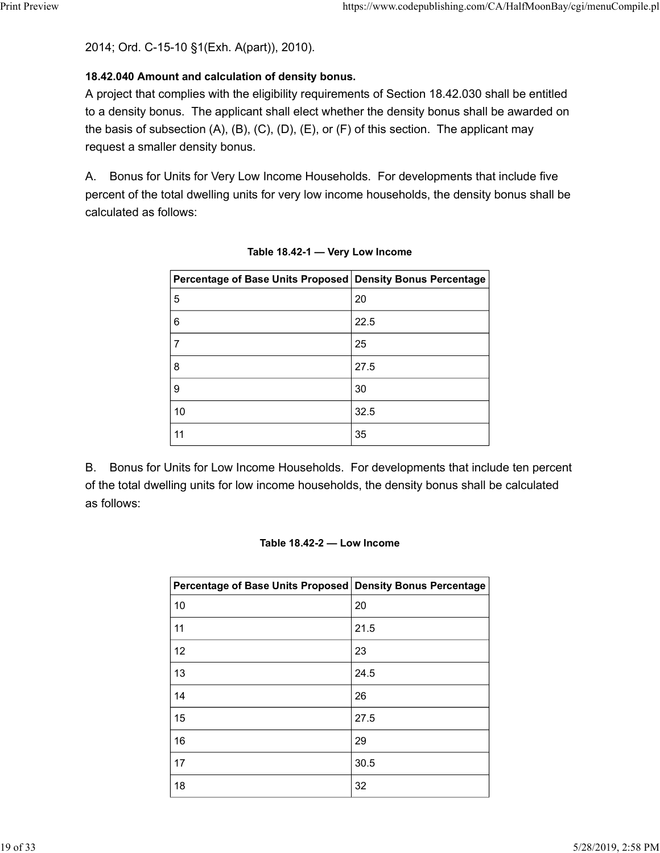2014; Ord. C-15-10 §1(Exh. A(part)), 2010).

# 18.42.040 Amount and calculation of density bonus.

A project that complies with the eligibility requirements of Section 18.42.030 shall be entitled to a density bonus. The applicant shall elect whether the density bonus shall be awarded on the basis of subsection  $(A)$ ,  $(B)$ ,  $(C)$ ,  $(D)$ ,  $(E)$ , or  $(F)$  of this section. The applicant may request a smaller density bonus. https://www.codepublishing.com/CA/HalfMoonBay/cgi/menuCompile.pl<br>
10 §1(Exh. A(part)), 2010).<br>
11 and calculation of density bonus.<br>
15. The applicant shall elect whether the density bonus shall be entitled<br>
16. S. The app

A. Bonus for Units for Very Low Income Households. For developments that include five percent of the total dwelling units for very low income households, the density bonus shall be calculated as follows:

| -10 §1(Exh. A(part)), 2010).                                                                                                                                                                                                                                                                              |                                 |
|-----------------------------------------------------------------------------------------------------------------------------------------------------------------------------------------------------------------------------------------------------------------------------------------------------------|---------------------------------|
| nt and calculation of density bonus.<br>mplies with the eligibility requirements of Section 18.42.030 shall be entitled<br>us. The applicant shall elect whether the density bonus shall be awarded on<br>section (A), (B), (C), (D), (E), or (F) of this section. The applicant may<br>er density bonus. |                                 |
| Inits for Very Low Income Households. For developments that include five<br>tal dwelling units for very low income households, the density bonus shall be<br>lows:                                                                                                                                        |                                 |
| Table 18.42-1 - Very Low Income                                                                                                                                                                                                                                                                           |                                 |
| Percentage of Base Units Proposed                                                                                                                                                                                                                                                                         | <b>Density Bonus Percentage</b> |
| $\mathbf 5$                                                                                                                                                                                                                                                                                               | 20                              |
| 6                                                                                                                                                                                                                                                                                                         | 22.5                            |
| $\boldsymbol{7}$                                                                                                                                                                                                                                                                                          | 25                              |
| 8                                                                                                                                                                                                                                                                                                         | 27.5                            |
| 9                                                                                                                                                                                                                                                                                                         | 30                              |
| 10                                                                                                                                                                                                                                                                                                        | 32.5                            |
| 11                                                                                                                                                                                                                                                                                                        | 35                              |
| Inits for Low Income Households. For developments that include ten percent<br>ling units for low income households, the density bonus shall be calculated<br>Table 18.42-2 - Low Income                                                                                                                   |                                 |
| Percentage of Base Units Proposed Density Bonus Percentage                                                                                                                                                                                                                                                |                                 |
| 10                                                                                                                                                                                                                                                                                                        | 20                              |
| 11                                                                                                                                                                                                                                                                                                        | 21.5                            |
| 12                                                                                                                                                                                                                                                                                                        | 23                              |
| 13                                                                                                                                                                                                                                                                                                        | 24.5                            |

Table 18.42-1 — Very Low Income

B. Bonus for Units for Low Income Households. For developments that include ten percent of the total dwelling units for low income households, the density bonus shall be calculated as follows:

# Table 18.42-2 — Low Income

| $\bf 8$                                                                                                                                                                                 | 27.5 |
|-----------------------------------------------------------------------------------------------------------------------------------------------------------------------------------------|------|
| $\boldsymbol{9}$                                                                                                                                                                        | 30   |
| 10                                                                                                                                                                                      | 32.5 |
| 11                                                                                                                                                                                      | 35   |
| Inits for Low Income Households. For developments that include ten percent<br>ling units for low income households, the density bonus shall be calculated<br>Table 18.42-2 - Low Income |      |
|                                                                                                                                                                                         |      |
| Percentage of Base Units Proposed Density Bonus Percentage                                                                                                                              |      |
| $10$                                                                                                                                                                                    | 20   |
| 11                                                                                                                                                                                      | 21.5 |
| 12                                                                                                                                                                                      | 23   |
| 13                                                                                                                                                                                      | 24.5 |
| 14                                                                                                                                                                                      | 26   |
| 15                                                                                                                                                                                      | 27.5 |
| 16                                                                                                                                                                                      | 29   |
| 17                                                                                                                                                                                      | 30.5 |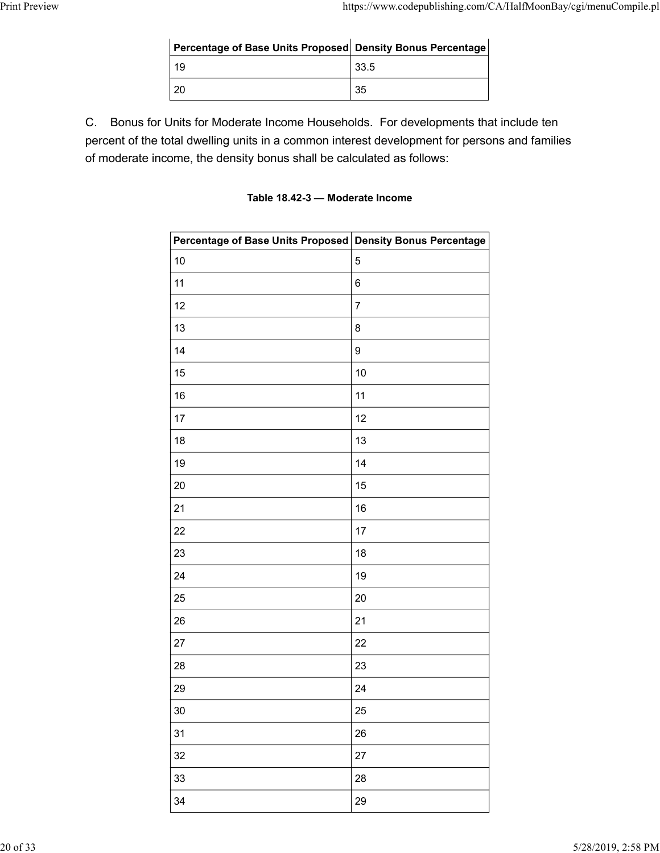| https://www.codepublishing.com/CA/HalfMoonBay/cgi/menuCompile.pl<br>Percentage of Base Units Proposed Density Bonus Percentage<br>19<br>33.5<br>20<br>35<br>C.<br>Bonus for Units for Moderate Income Households. For developments that include ten<br>percent of the total dwelling units in a common interest development for persons and families |                      |  |  |
|------------------------------------------------------------------------------------------------------------------------------------------------------------------------------------------------------------------------------------------------------------------------------------------------------------------------------------------------------|----------------------|--|--|
|                                                                                                                                                                                                                                                                                                                                                      |                      |  |  |
|                                                                                                                                                                                                                                                                                                                                                      |                      |  |  |
|                                                                                                                                                                                                                                                                                                                                                      |                      |  |  |
|                                                                                                                                                                                                                                                                                                                                                      |                      |  |  |
|                                                                                                                                                                                                                                                                                                                                                      |                      |  |  |
|                                                                                                                                                                                                                                                                                                                                                      |                      |  |  |
|                                                                                                                                                                                                                                                                                                                                                      |                      |  |  |
|                                                                                                                                                                                                                                                                                                                                                      |                      |  |  |
|                                                                                                                                                                                                                                                                                                                                                      | <b>Print Preview</b> |  |  |
|                                                                                                                                                                                                                                                                                                                                                      |                      |  |  |
|                                                                                                                                                                                                                                                                                                                                                      |                      |  |  |
| of moderate income the density bonus shall be calculated as follows:                                                                                                                                                                                                                                                                                 |                      |  |  |

C. Bonus for Units for Moderate Income Households. For developments that include ten percent of the total dwelling units in a common interest development for persons and families of moderate income, the density bonus shall be calculated as follows:

### Table 18.42-3 — Moderate Income

| Percentage of Base Units Proposed Density Bonus Percentage                                                                                                                                                         |                                 |
|--------------------------------------------------------------------------------------------------------------------------------------------------------------------------------------------------------------------|---------------------------------|
| 19                                                                                                                                                                                                                 | 33.5                            |
| $20\,$                                                                                                                                                                                                             | 35                              |
| Jnits for Moderate Income Households. For developments that include ten<br>otal dwelling units in a common interest development for persons and families<br>ome, the density bonus shall be calculated as follows: |                                 |
|                                                                                                                                                                                                                    | Table 18.42-3 - Moderate Income |
| Percentage of Base Units Proposed Density Bonus Percentage                                                                                                                                                         |                                 |
| 10                                                                                                                                                                                                                 | $\overline{5}$                  |
| 11                                                                                                                                                                                                                 | 6                               |
| 12                                                                                                                                                                                                                 | $\overline{7}$                  |
| 13                                                                                                                                                                                                                 | 8                               |
| 14                                                                                                                                                                                                                 | 9                               |
| 15                                                                                                                                                                                                                 | 10                              |
| 16                                                                                                                                                                                                                 | 11                              |
| 17                                                                                                                                                                                                                 | 12                              |
| $18\,$                                                                                                                                                                                                             | $13\,$                          |
| 19                                                                                                                                                                                                                 | 14                              |
| $20\,$                                                                                                                                                                                                             | 15                              |
| 21                                                                                                                                                                                                                 | 16                              |
| 22                                                                                                                                                                                                                 | $17$                            |
| 23                                                                                                                                                                                                                 | 18                              |
| 24                                                                                                                                                                                                                 | 19                              |
| 25                                                                                                                                                                                                                 | $20\,$                          |
| 26                                                                                                                                                                                                                 | 21                              |
| 27                                                                                                                                                                                                                 | 22                              |
| 28                                                                                                                                                                                                                 | 23                              |
| 29                                                                                                                                                                                                                 | 24                              |
| $30\,$                                                                                                                                                                                                             | 25                              |
| 31                                                                                                                                                                                                                 | 26                              |
| 32                                                                                                                                                                                                                 | 27                              |
| 33                                                                                                                                                                                                                 | 28                              |
| 34                                                                                                                                                                                                                 | 29                              |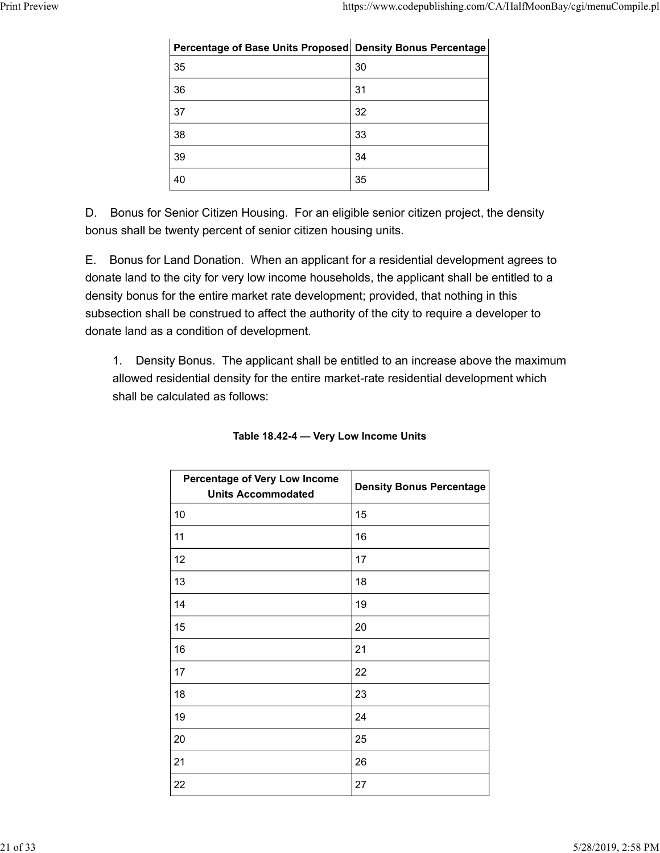|               |                                                                  | https://www.codepublishing.com/CA/HalfMoonBay/cgi/menuCompile.pl |
|---------------|------------------------------------------------------------------|------------------------------------------------------------------|
|               |                                                                  |                                                                  |
|               | Percentage of Base Units Proposed Density Bonus Percentage<br>35 | $30\,$                                                           |
|               | 36                                                               | 31                                                               |
|               | 37                                                               | 32                                                               |
|               | 38                                                               | 33                                                               |
| Print Preview | 39                                                               | 34                                                               |

E. Bonus for Land Donation. When an applicant for a residential development agrees to donate land to the city for very low income households, the applicant shall be entitled to a density bonus for the entire market rate development; provided, that nothing in this subsection shall be construed to affect the authority of the city to require a developer to donate land as a condition of development.

1. Density Bonus. The applicant shall be entitled to an increase above the maximum allowed residential density for the entire market-rate residential development which shall be calculated as follows:

| venty percent or serifor entreem nousing units.                                                                                                                                                                                                                                                                                           |                                 |
|-------------------------------------------------------------------------------------------------------------------------------------------------------------------------------------------------------------------------------------------------------------------------------------------------------------------------------------------|---------------------------------|
| and Donation. When an applicant for a residential development agrees to<br>e city for very low income households, the applicant shall be entitled to a<br>r the entire market rate development; provided, that nothing in this<br>be construed to affect the authority of the city to require a developer to<br>condition of development. |                                 |
| Bonus. The applicant shall be entitled to an increase above the maximum<br>idential density for the entire market-rate residential development which<br>culated as follows:                                                                                                                                                               |                                 |
| Table 18.42-4 - Very Low Income Units                                                                                                                                                                                                                                                                                                     |                                 |
| Percentage of Very Low Income<br><b>Units Accommodated</b>                                                                                                                                                                                                                                                                                | <b>Density Bonus Percentage</b> |
| 10                                                                                                                                                                                                                                                                                                                                        | 15                              |
| 11                                                                                                                                                                                                                                                                                                                                        | 16                              |
| 12                                                                                                                                                                                                                                                                                                                                        | 17                              |
| 13                                                                                                                                                                                                                                                                                                                                        | 18                              |
| 14                                                                                                                                                                                                                                                                                                                                        | 19                              |
| 15                                                                                                                                                                                                                                                                                                                                        | 20                              |
| 16                                                                                                                                                                                                                                                                                                                                        | 21                              |
| 17                                                                                                                                                                                                                                                                                                                                        | 22                              |
| 18                                                                                                                                                                                                                                                                                                                                        | 23                              |
|                                                                                                                                                                                                                                                                                                                                           |                                 |
| 19                                                                                                                                                                                                                                                                                                                                        | 24                              |
| 20                                                                                                                                                                                                                                                                                                                                        | 25                              |
| 21                                                                                                                                                                                                                                                                                                                                        | 26                              |

| Table 18.42-4 - Very Low Income Units |  |  |
|---------------------------------------|--|--|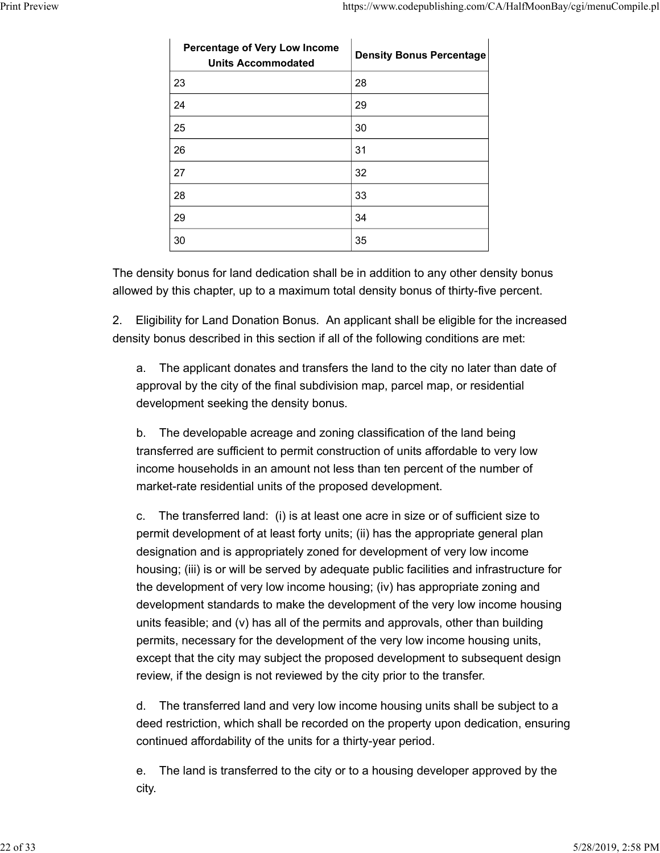|                                                                   | https://www.codepublishing.com/CA/HalfMoonBay/cgi/menuCompile.pl |
|-------------------------------------------------------------------|------------------------------------------------------------------|
|                                                                   |                                                                  |
| <b>Percentage of Very Low Income</b><br><b>Units Accommodated</b> | <b>Density Bonus Percentage</b>                                  |
|                                                                   |                                                                  |
| 23                                                                | 28                                                               |
| 24                                                                | 29                                                               |
| 25                                                                | 30                                                               |
| 26                                                                | 31                                                               |
| 27                                                                | 32                                                               |
| 28                                                                | 33                                                               |
| 29                                                                | 34                                                               |

2. Eligibility for Land Donation Bonus. An applicant shall be eligible for the increased density bonus described in this section if all of the following conditions are met:

a. The applicant donates and transfers the land to the city no later than date of approval by the city of the final subdivision map, parcel map, or residential development seeking the density bonus.

b. The developable acreage and zoning classification of the land being transferred are sufficient to permit construction of units affordable to very low income households in an amount not less than ten percent of the number of market-rate residential units of the proposed development.

c. The transferred land: (i) is at least one acre in size or of sufficient size to permit development of at least forty units; (ii) has the appropriate general plan designation and is appropriately zoned for development of very low income housing; (iii) is or will be served by adequate public facilities and infrastructure for the development of very low income housing; (iv) has appropriate zoning and development standards to make the development of the very low income housing units feasible; and (v) has all of the permits and approvals, other than building permits, necessary for the development of the very low income housing units, except that the city may subject the proposed development to subsequent design review, if the design is not reviewed by the city prior to the transfer.

d. The transferred land and very low income housing units shall be subject to a deed restriction, which shall be recorded on the property upon dedication, ensuring continued affordability of the units for a thirty-year period.

e. The land is transferred to the city or to a housing developer approved by the city.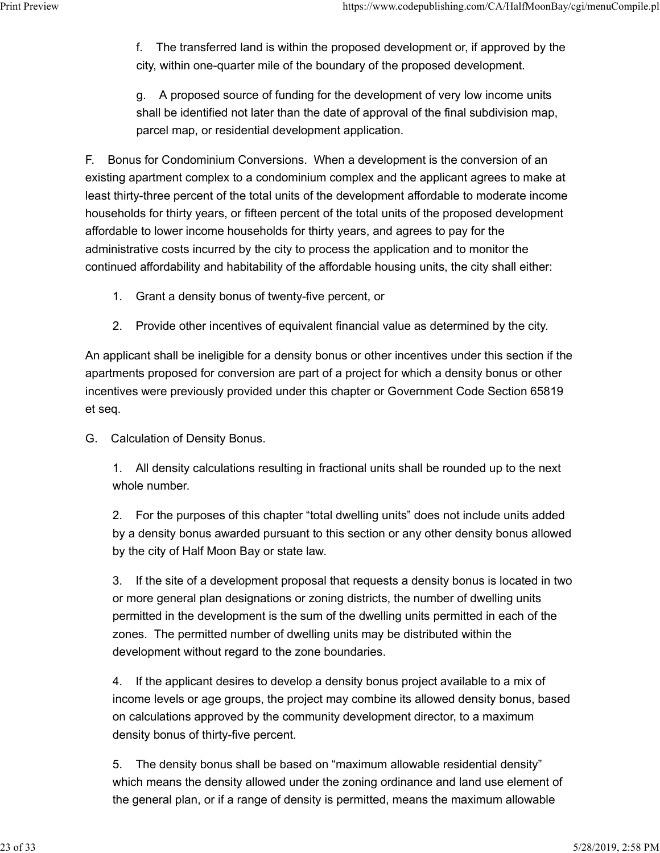f. The transferred land is within the proposed development or, if approved by the city, within one-quarter mile of the boundary of the proposed development. Print Preview https://www.codepublishing.com/CA/HalfMoonBay/cgi/menuCompile.pl<br>f. The transferred land is within the proposed development or, if approved by the<br>city, within one-quarter mile of the boundary of the proposed

> g. A proposed source of funding for the development of very low income units shall be identified not later than the date of approval of the final subdivision map, parcel map, or residential development application.

F. Bonus for Condominium Conversions. When a development is the conversion of an existing apartment complex to a condominium complex and the applicant agrees to make at least thirty-three percent of the total units of the development affordable to moderate income households for thirty years, or fifteen percent of the total units of the proposed development affordable to lower income households for thirty years, and agrees to pay for the administrative costs incurred by the city to process the application and to monitor the continued affordability and habitability of the affordable housing units, the city shall either:

- 1. Grant a density bonus of twenty-five percent, or
- 2. Provide other incentives of equivalent financial value as determined by the city.

An applicant shall be ineligible for a density bonus or other incentives under this section if the apartments proposed for conversion are part of a project for which a density bonus or other incentives were previously provided under this chapter or Government Code Section 65819 et seq.

G. Calculation of Density Bonus.

1. All density calculations resulting in fractional units shall be rounded up to the next whole number.

2. For the purposes of this chapter "total dwelling units" does not include units added by a density bonus awarded pursuant to this section or any other density bonus allowed by the city of Half Moon Bay or state law.

3. If the site of a development proposal that requests a density bonus is located in two or more general plan designations or zoning districts, the number of dwelling units permitted in the development is the sum of the dwelling units permitted in each of the zones. The permitted number of dwelling units may be distributed within the development without regard to the zone boundaries.

4. If the applicant desires to develop a density bonus project available to a mix of income levels or age groups, the project may combine its allowed density bonus, based on calculations approved by the community development director, to a maximum density bonus of thirty-five percent.

5. The density bonus shall be based on "maximum allowable residential density" which means the density allowed under the zoning ordinance and land use element of the general plan, or if a range of density is permitted, means the maximum allowable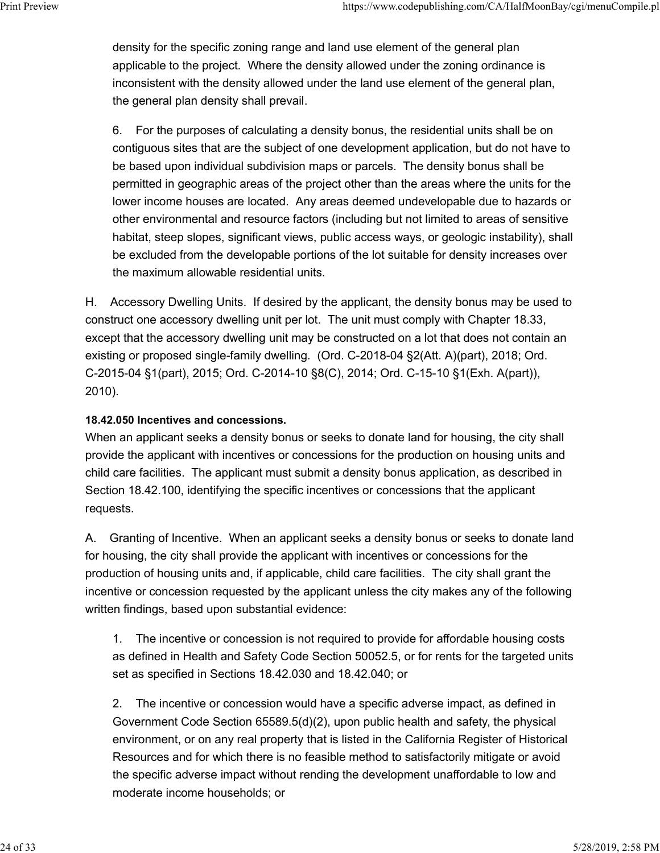density for the specific zoning range and land use element of the general plan applicable to the project. Where the density allowed under the zoning ordinance is inconsistent with the density allowed under the land use element of the general plan, the general plan density shall prevail. Print Preview https://www.codepublishing.com/CA/HalfMoonBay/cgi/menuCompile.pl<br>density for the specific zoning range and land use element of the general plan<br>applicable to the project. Where the density allowed under the z

> 6. For the purposes of calculating a density bonus, the residential units shall be on contiguous sites that are the subject of one development application, but do not have to be based upon individual subdivision maps or parcels. The density bonus shall be permitted in geographic areas of the project other than the areas where the units for the lower income houses are located. Any areas deemed undevelopable due to hazards or other environmental and resource factors (including but not limited to areas of sensitive habitat, steep slopes, significant views, public access ways, or geologic instability), shall be excluded from the developable portions of the lot suitable for density increases over the maximum allowable residential units.

H. Accessory Dwelling Units. If desired by the applicant, the density bonus may be used to construct one accessory dwelling unit per lot. The unit must comply with Chapter 18.33, except that the accessory dwelling unit may be constructed on a lot that does not contain an existing or proposed single-family dwelling. (Ord. C-2018-04 §2(Att. A)(part), 2018; Ord. C-2015-04 §1(part), 2015; Ord. C-2014-10 §8(C), 2014; Ord. C-15-10 §1(Exh. A(part)), 2010).

### 18.42.050 Incentives and concessions.

When an applicant seeks a density bonus or seeks to donate land for housing, the city shall provide the applicant with incentives or concessions for the production on housing units and child care facilities. The applicant must submit a density bonus application, as described in Section 18.42.100, identifying the specific incentives or concessions that the applicant requests.

A. Granting of Incentive. When an applicant seeks a density bonus or seeks to donate land for housing, the city shall provide the applicant with incentives or concessions for the production of housing units and, if applicable, child care facilities. The city shall grant the incentive or concession requested by the applicant unless the city makes any of the following written findings, based upon substantial evidence:

1. The incentive or concession is not required to provide for affordable housing costs as defined in Health and Safety Code Section 50052.5, or for rents for the targeted units set as specified in Sections 18.42.030 and 18.42.040; or

2. The incentive or concession would have a specific adverse impact, as defined in Government Code Section 65589.5(d)(2), upon public health and safety, the physical environment, or on any real property that is listed in the California Register of Historical Resources and for which there is no feasible method to satisfactorily mitigate or avoid the specific adverse impact without rending the development unaffordable to low and moderate income households; or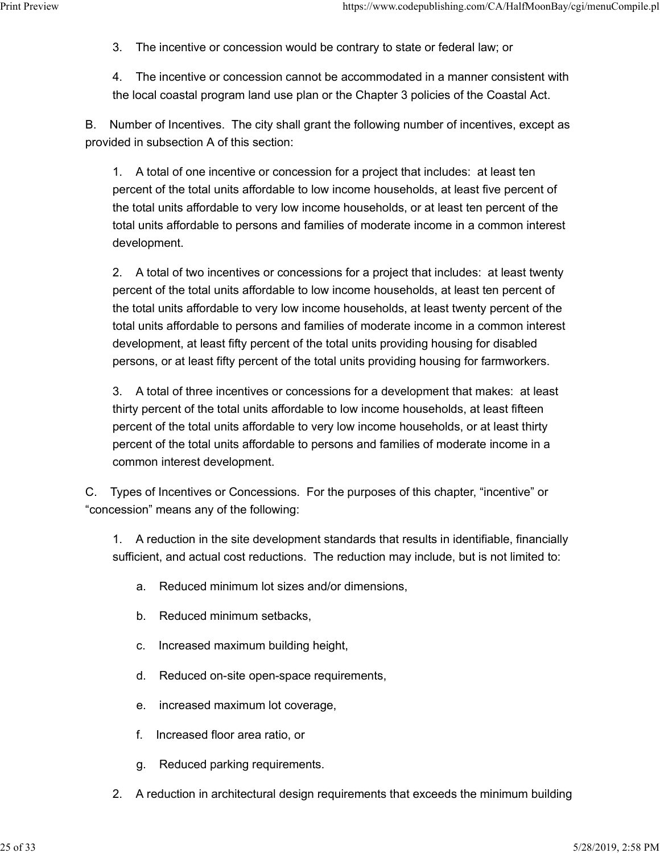3. The incentive or concession would be contrary to state or federal law; or Print Preview https://www.codepublishing.com/CA/HalfMoonBay/cgi/menuCompile.pl<br>3. The incentive or concession would be contrary to state or federal law; or<br>4. The incentive or concession cannot be accommodated in a manner

4. The incentive or concession cannot be accommodated in a manner consistent with the local coastal program land use plan or the Chapter 3 policies of the Coastal Act.

B. Number of Incentives. The city shall grant the following number of incentives, except as provided in subsection A of this section:

1. A total of one incentive or concession for a project that includes: at least ten percent of the total units affordable to low income households, at least five percent of the total units affordable to very low income households, or at least ten percent of the total units affordable to persons and families of moderate income in a common interest development.

2. A total of two incentives or concessions for a project that includes: at least twenty percent of the total units affordable to low income households, at least ten percent of the total units affordable to very low income households, at least twenty percent of the total units affordable to persons and families of moderate income in a common interest development, at least fifty percent of the total units providing housing for disabled persons, or at least fifty percent of the total units providing housing for farmworkers.

3. A total of three incentives or concessions for a development that makes: at least thirty percent of the total units affordable to low income households, at least fifteen percent of the total units affordable to very low income households, or at least thirty percent of the total units affordable to persons and families of moderate income in a common interest development.

C. Types of Incentives or Concessions. For the purposes of this chapter, "incentive" or "concession" means any of the following:

1. A reduction in the site development standards that results in identifiable, financially sufficient, and actual cost reductions. The reduction may include, but is not limited to:

- a. Reduced minimum lot sizes and/or dimensions,
- b. Reduced minimum setbacks,
- c. Increased maximum building height,
- d. Reduced on-site open-space requirements,
- e. increased maximum lot coverage,
- f. Increased floor area ratio, or
- g. Reduced parking requirements.
- 2. A reduction in architectural design requirements that exceeds the minimum building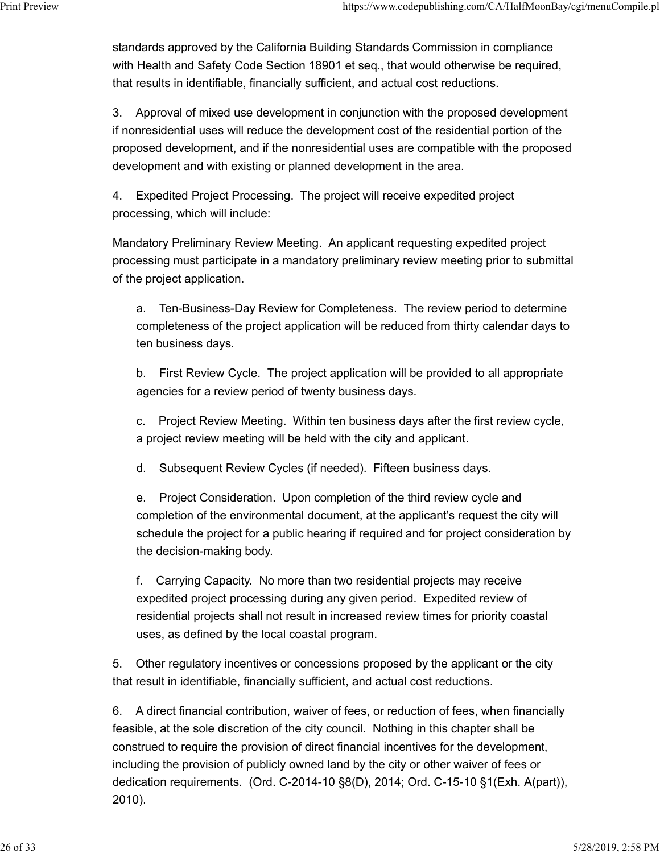standards approved by the California Building Standards Commission in compliance with Health and Safety Code Section 18901 et seq., that would otherwise be required, that results in identifiable, financially sufficient, and actual cost reductions. Print Preview https://www.codepublishing.com/CA/HalfMoonBay/cgi/menuCompile.pl<br>standards approved by the California Building Standards Commission in compliance<br>with Health and Safety Code Section 18901 et seq., that would

> 3. Approval of mixed use development in conjunction with the proposed development if nonresidential uses will reduce the development cost of the residential portion of the proposed development, and if the nonresidential uses are compatible with the proposed development and with existing or planned development in the area.

4. Expedited Project Processing. The project will receive expedited project processing, which will include:

Mandatory Preliminary Review Meeting. An applicant requesting expedited project processing must participate in a mandatory preliminary review meeting prior to submittal of the project application.

a. Ten-Business-Day Review for Completeness. The review period to determine completeness of the project application will be reduced from thirty calendar days to ten business days.

b. First Review Cycle. The project application will be provided to all appropriate agencies for a review period of twenty business days.

c. Project Review Meeting. Within ten business days after the first review cycle, a project review meeting will be held with the city and applicant.

d. Subsequent Review Cycles (if needed). Fifteen business days.

e. Project Consideration. Upon completion of the third review cycle and completion of the environmental document, at the applicant's request the city will schedule the project for a public hearing if required and for project consideration by the decision-making body.

f. Carrying Capacity. No more than two residential projects may receive expedited project processing during any given period. Expedited review of residential projects shall not result in increased review times for priority coastal uses, as defined by the local coastal program.

5. Other regulatory incentives or concessions proposed by the applicant or the city that result in identifiable, financially sufficient, and actual cost reductions.

6. A direct financial contribution, waiver of fees, or reduction of fees, when financially feasible, at the sole discretion of the city council. Nothing in this chapter shall be construed to require the provision of direct financial incentives for the development, including the provision of publicly owned land by the city or other waiver of fees or dedication requirements. (Ord. C-2014-10 §8(D), 2014; Ord. C-15-10 §1(Exh. A(part)), 2010).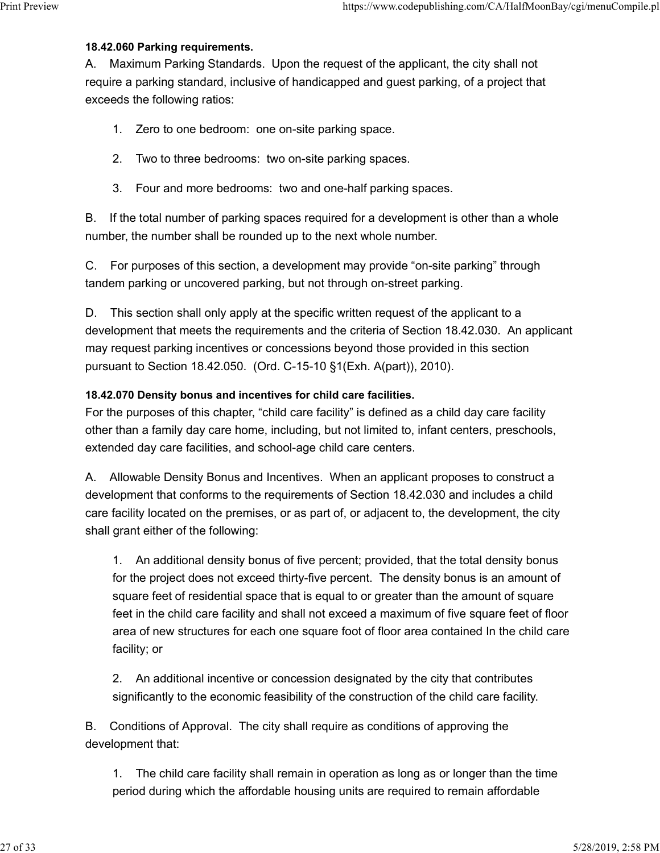#### 18.42.060 Parking requirements.

A. Maximum Parking Standards. Upon the request of the applicant, the city shall not require a parking standard, inclusive of handicapped and guest parking, of a project that exceeds the following ratios: Print Preview https://www.codepublishing.com/CA/HalfMoonBay/cgi/menuCompile.pl<br> **18.42.060 Parking requirements.**<br>
A. Maximum Parking Standards. Upon the request of the applicant, the city shall not

- 1. Zero to one bedroom: one on-site parking space.
- 2. Two to three bedrooms: two on-site parking spaces.
- 3. Four and more bedrooms: two and one-half parking spaces.

B. If the total number of parking spaces required for a development is other than a whole number, the number shall be rounded up to the next whole number.

C. For purposes of this section, a development may provide "on-site parking" through tandem parking or uncovered parking, but not through on-street parking.

D. This section shall only apply at the specific written request of the applicant to a development that meets the requirements and the criteria of Section 18.42.030. An applicant may request parking incentives or concessions beyond those provided in this section pursuant to Section 18.42.050. (Ord. C-15-10 §1(Exh. A(part)), 2010).

### 18.42.070 Density bonus and incentives for child care facilities.

For the purposes of this chapter, "child care facility" is defined as a child day care facility other than a family day care home, including, but not limited to, infant centers, preschools, extended day care facilities, and school-age child care centers.

A. Allowable Density Bonus and Incentives. When an applicant proposes to construct a development that conforms to the requirements of Section 18.42.030 and includes a child care facility located on the premises, or as part of, or adjacent to, the development, the city shall grant either of the following:

1. An additional density bonus of five percent; provided, that the total density bonus for the project does not exceed thirty-five percent. The density bonus is an amount of square feet of residential space that is equal to or greater than the amount of square feet in the child care facility and shall not exceed a maximum of five square feet of floor area of new structures for each one square foot of floor area contained In the child care facility; or

2. An additional incentive or concession designated by the city that contributes significantly to the economic feasibility of the construction of the child care facility.

B. Conditions of Approval. The city shall require as conditions of approving the development that:

1. The child care facility shall remain in operation as long as or longer than the time period during which the affordable housing units are required to remain affordable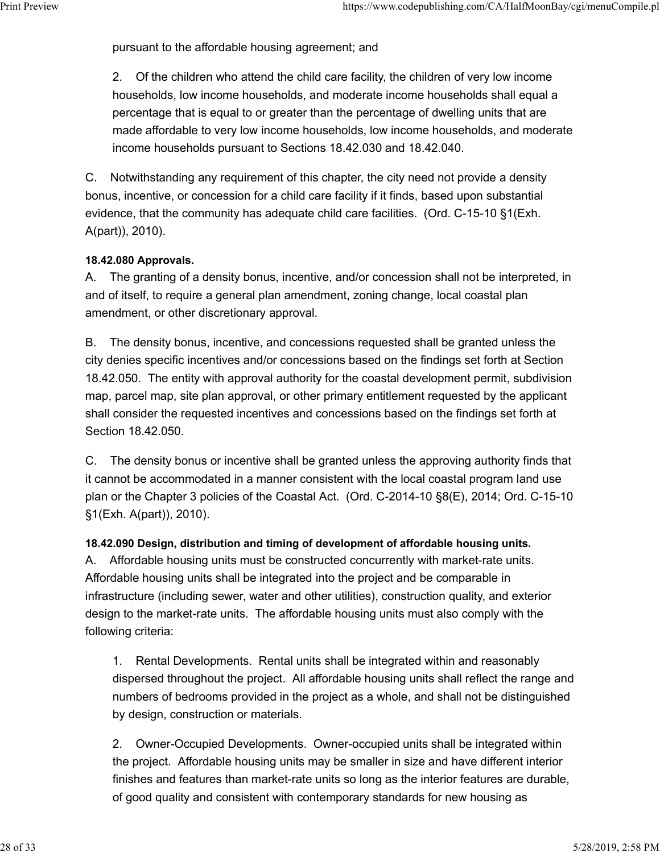pursuant to the affordable housing agreement; and Print Preview https://www.codepublishing.com/CA/HalfMoonBay/cgi/menuCompile.pl<br>pursuant to the affordable housing agreement; and<br>2. Of the children who attend the child care facility, the children of very low income

2. Of the children who attend the child care facility, the children of very low income households, low income households, and moderate income households shall equal a percentage that is equal to or greater than the percentage of dwelling units that are made affordable to very low income households, low income households, and moderate income households pursuant to Sections 18.42.030 and 18.42.040.

C. Notwithstanding any requirement of this chapter, the city need not provide a density bonus, incentive, or concession for a child care facility if it finds, based upon substantial evidence, that the community has adequate child care facilities. (Ord. C-15-10 §1(Exh. A(part)), 2010).

### 18.42.080 Approvals.

A. The granting of a density bonus, incentive, and/or concession shall not be interpreted, in and of itself, to require a general plan amendment, zoning change, local coastal plan amendment, or other discretionary approval.

B. The density bonus, incentive, and concessions requested shall be granted unless the city denies specific incentives and/or concessions based on the findings set forth at Section 18.42.050. The entity with approval authority for the coastal development permit, subdivision map, parcel map, site plan approval, or other primary entitlement requested by the applicant shall consider the requested incentives and concessions based on the findings set forth at Section 18.42.050.

C. The density bonus or incentive shall be granted unless the approving authority finds that it cannot be accommodated in a manner consistent with the local coastal program land use plan or the Chapter 3 policies of the Coastal Act. (Ord. C-2014-10 §8(E), 2014; Ord. C-15-10 §1(Exh. A(part)), 2010).

18.42.090 Design, distribution and timing of development of affordable housing units.

A. Affordable housing units must be constructed concurrently with market-rate units. Affordable housing units shall be integrated into the project and be comparable in infrastructure (including sewer, water and other utilities), construction quality, and exterior design to the market-rate units. The affordable housing units must also comply with the following criteria:

1. Rental Developments. Rental units shall be integrated within and reasonably dispersed throughout the project. All affordable housing units shall reflect the range and numbers of bedrooms provided in the project as a whole, and shall not be distinguished by design, construction or materials.

2. Owner-Occupied Developments. Owner-occupied units shall be integrated within the project. Affordable housing units may be smaller in size and have different interior finishes and features than market-rate units so long as the interior features are durable, of good quality and consistent with contemporary standards for new housing as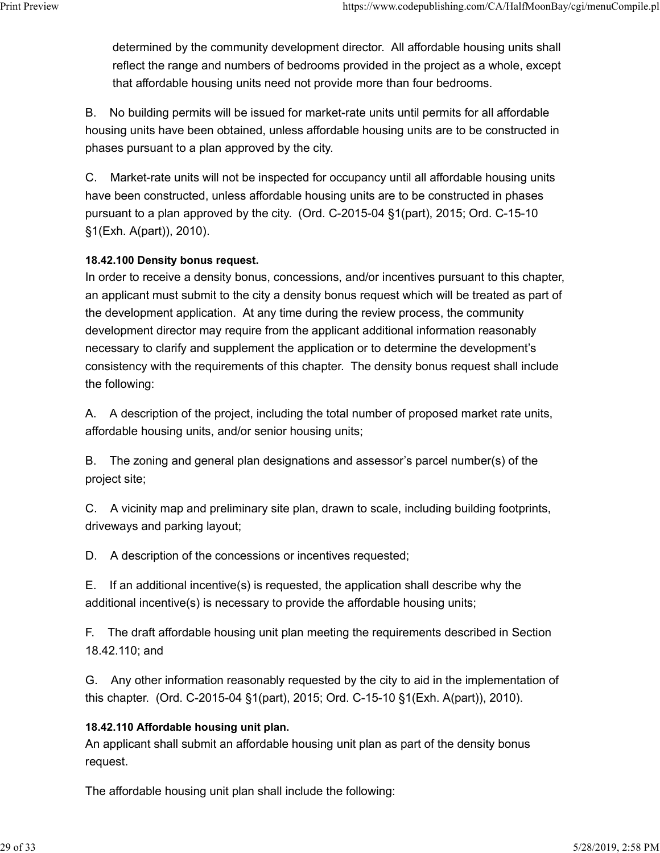determined by the community development director. All affordable housing units shall reflect the range and numbers of bedrooms provided in the project as a whole, except that affordable housing units need not provide more than four bedrooms. Print Preview https://www.codepublishing.com/CA/HalfMoonBay/cgi/menuCompile.pl<br>determined by the community development director. All affordable housing units shall<br>reflect the range and numbers of bedrooms provided in the

> B. No building permits will be issued for market-rate units until permits for all affordable housing units have been obtained, unless affordable housing units are to be constructed in phases pursuant to a plan approved by the city.

> C. Market-rate units will not be inspected for occupancy until all affordable housing units have been constructed, unless affordable housing units are to be constructed in phases pursuant to a plan approved by the city. (Ord. C-2015-04 §1(part), 2015; Ord. C-15-10 §1(Exh. A(part)), 2010).

# 18.42.100 Density bonus request.

In order to receive a density bonus, concessions, and/or incentives pursuant to this chapter, an applicant must submit to the city a density bonus request which will be treated as part of the development application. At any time during the review process, the community development director may require from the applicant additional information reasonably necessary to clarify and supplement the application or to determine the development's consistency with the requirements of this chapter. The density bonus request shall include the following:

A. A description of the project, including the total number of proposed market rate units, affordable housing units, and/or senior housing units;

B. The zoning and general plan designations and assessor's parcel number(s) of the project site;

C. A vicinity map and preliminary site plan, drawn to scale, including building footprints, driveways and parking layout;

D. A description of the concessions or incentives requested;

E. If an additional incentive(s) is requested, the application shall describe why the additional incentive(s) is necessary to provide the affordable housing units;

F. The draft affordable housing unit plan meeting the requirements described in Section 18.42.110; and

G. Any other information reasonably requested by the city to aid in the implementation of this chapter. (Ord. C-2015-04 §1(part), 2015; Ord. C-15-10 §1(Exh. A(part)), 2010).

#### 18.42.110 Affordable housing unit plan.

An applicant shall submit an affordable housing unit plan as part of the density bonus request.

The affordable housing unit plan shall include the following: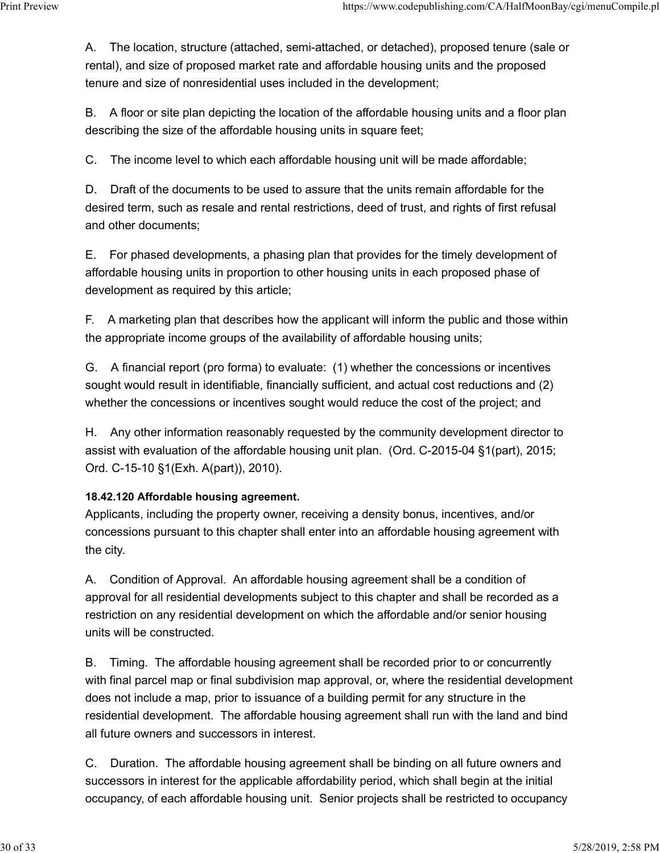A. The location, structure (attached, semi-attached, or detached), proposed tenure (sale or rental), and size of proposed market rate and affordable housing units and the proposed tenure and size of nonresidential uses included in the development; Print Preview https://www.codepublishing.com/CA/HalfMoonBay/cgi/menuCompile.pl<br>A. The location, structure (attached, semi-attached, or detached), proposed tenure (sale or<br>rental), and size of proposed market rate and affor

> B. A floor or site plan depicting the location of the affordable housing units and a floor plan describing the size of the affordable housing units in square feet;

C. The income level to which each affordable housing unit will be made affordable;

D. Draft of the documents to be used to assure that the units remain affordable for the desired term, such as resale and rental restrictions, deed of trust, and rights of first refusal and other documents;

E. For phased developments, a phasing plan that provides for the timely development of affordable housing units in proportion to other housing units in each proposed phase of development as required by this article;

F. A marketing plan that describes how the applicant will inform the public and those within the appropriate income groups of the availability of affordable housing units;

G. A financial report (pro forma) to evaluate: (1) whether the concessions or incentives sought would result in identifiable, financially sufficient, and actual cost reductions and (2) whether the concessions or incentives sought would reduce the cost of the project; and

H. Any other information reasonably requested by the community development director to assist with evaluation of the affordable housing unit plan. (Ord. C-2015-04 §1(part), 2015; Ord. C-15-10 §1(Exh. A(part)), 2010).

# 18.42.120 Affordable housing agreement.

Applicants, including the property owner, receiving a density bonus, incentives, and/or concessions pursuant to this chapter shall enter into an affordable housing agreement with the city.

A. Condition of Approval. An affordable housing agreement shall be a condition of approval for all residential developments subject to this chapter and shall be recorded as a restriction on any residential development on which the affordable and/or senior housing units will be constructed.

B. Timing. The affordable housing agreement shall be recorded prior to or concurrently with final parcel map or final subdivision map approval, or, where the residential development does not include a map, prior to issuance of a building permit for any structure in the residential development. The affordable housing agreement shall run with the land and bind all future owners and successors in interest.

C. Duration. The affordable housing agreement shall be binding on all future owners and successors in interest for the applicable affordability period, which shall begin at the initial occupancy, of each affordable housing unit. Senior projects shall be restricted to occupancy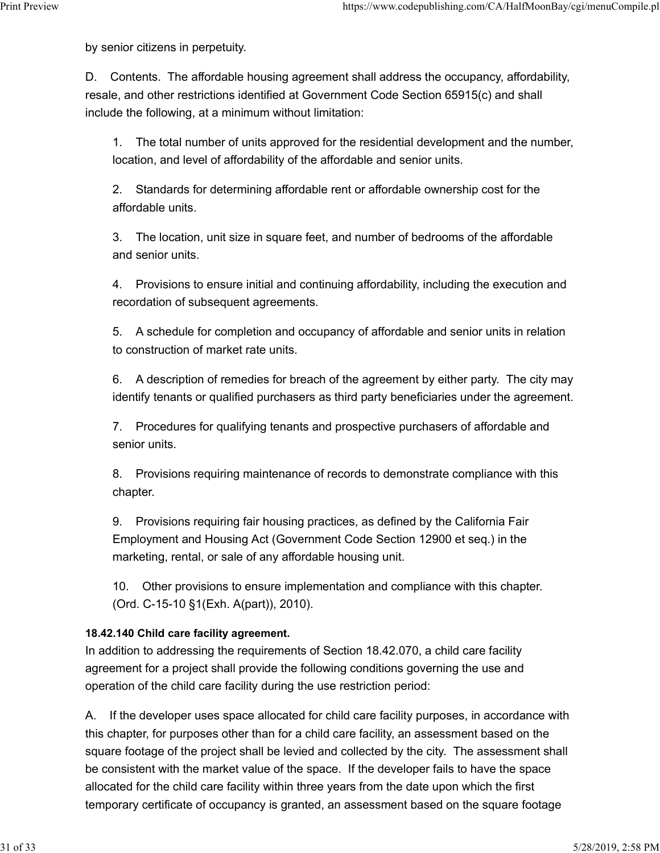by senior citizens in perpetuity.

D. Contents. The affordable housing agreement shall address the occupancy, affordability, resale, and other restrictions identified at Government Code Section 65915(c) and shall include the following, at a minimum without limitation: Print Preview https://www.codepublishing.com/CA/HalfMoonBay/cgi/menuCompile.pl<br>by senior citizens in perpetuity.<br>D. Contents. The affordable bousing agreement shall address the occupancy affordability

> 1. The total number of units approved for the residential development and the number, location, and level of affordability of the affordable and senior units.

2. Standards for determining affordable rent or affordable ownership cost for the affordable units.

3. The location, unit size in square feet, and number of bedrooms of the affordable and senior units.

4. Provisions to ensure initial and continuing affordability, including the execution and recordation of subsequent agreements.

5. A schedule for completion and occupancy of affordable and senior units in relation to construction of market rate units.

6. A description of remedies for breach of the agreement by either party. The city may identify tenants or qualified purchasers as third party beneficiaries under the agreement.

7. Procedures for qualifying tenants and prospective purchasers of affordable and senior units.

8. Provisions requiring maintenance of records to demonstrate compliance with this chapter.

9. Provisions requiring fair housing practices, as defined by the California Fair Employment and Housing Act (Government Code Section 12900 et seq.) in the marketing, rental, or sale of any affordable housing unit.

10. Other provisions to ensure implementation and compliance with this chapter. (Ord. C-15-10 §1(Exh. A(part)), 2010).

# 18.42.140 Child care facility agreement.

In addition to addressing the requirements of Section 18.42.070, a child care facility agreement for a project shall provide the following conditions governing the use and operation of the child care facility during the use restriction period:

A. If the developer uses space allocated for child care facility purposes, in accordance with this chapter, for purposes other than for a child care facility, an assessment based on the square footage of the project shall be levied and collected by the city. The assessment shall be consistent with the market value of the space. If the developer fails to have the space allocated for the child care facility within three years from the date upon which the first temporary certificate of occupancy is granted, an assessment based on the square footage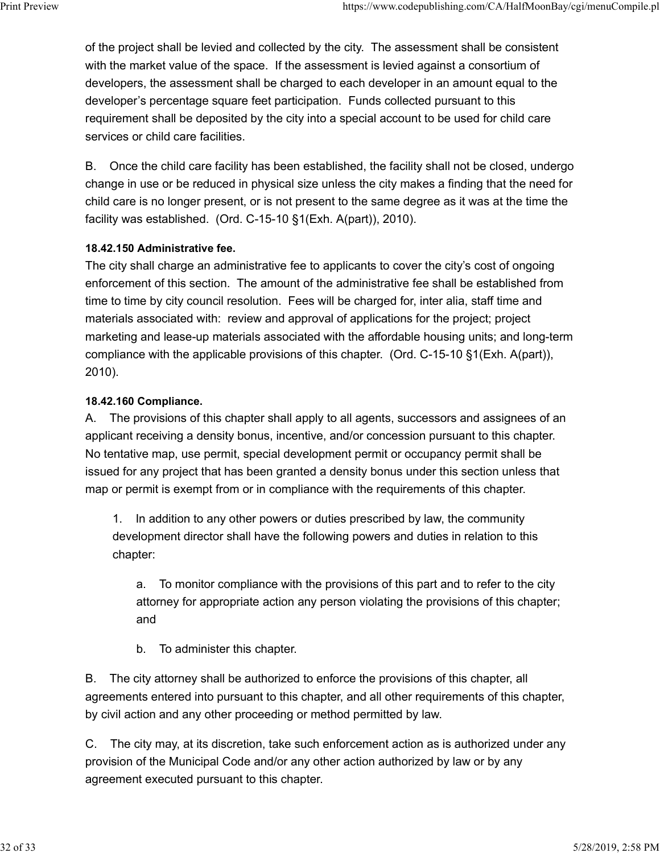of the project shall be levied and collected by the city. The assessment shall be consistent with the market value of the space. If the assessment is levied against a consortium of developers, the assessment shall be charged to each developer in an amount equal to the developer's percentage square feet participation. Funds collected pursuant to this requirement shall be deposited by the city into a special account to be used for child care services or child care facilities. Print Preview https://www.codepublishing.com/CA/HalfMoonBay/cgi/menuCompile.pl<br>of the project shall be levied and collected by the city. The assessment shall be consistent<br>with the market value of the space. If the assessm

> B. Once the child care facility has been established, the facility shall not be closed, undergo change in use or be reduced in physical size unless the city makes a finding that the need for child care is no longer present, or is not present to the same degree as it was at the time the facility was established. (Ord. C-15-10 §1(Exh. A(part)), 2010).

### 18.42.150 Administrative fee.

The city shall charge an administrative fee to applicants to cover the city's cost of ongoing enforcement of this section. The amount of the administrative fee shall be established from time to time by city council resolution. Fees will be charged for, inter alia, staff time and materials associated with: review and approval of applications for the project; project marketing and lease-up materials associated with the affordable housing units; and long-term compliance with the applicable provisions of this chapter. (Ord. C-15-10 §1(Exh. A(part)), 2010).

# 18.42.160 Compliance.

A. The provisions of this chapter shall apply to all agents, successors and assignees of an applicant receiving a density bonus, incentive, and/or concession pursuant to this chapter. No tentative map, use permit, special development permit or occupancy permit shall be issued for any project that has been granted a density bonus under this section unless that map or permit is exempt from or in compliance with the requirements of this chapter.

1. In addition to any other powers or duties prescribed by law, the community development director shall have the following powers and duties in relation to this chapter:

a. To monitor compliance with the provisions of this part and to refer to the city attorney for appropriate action any person violating the provisions of this chapter; and

b. To administer this chapter.

B. The city attorney shall be authorized to enforce the provisions of this chapter, all agreements entered into pursuant to this chapter, and all other requirements of this chapter, by civil action and any other proceeding or method permitted by law.

C. The city may, at its discretion, take such enforcement action as is authorized under any provision of the Municipal Code and/or any other action authorized by law or by any agreement executed pursuant to this chapter.